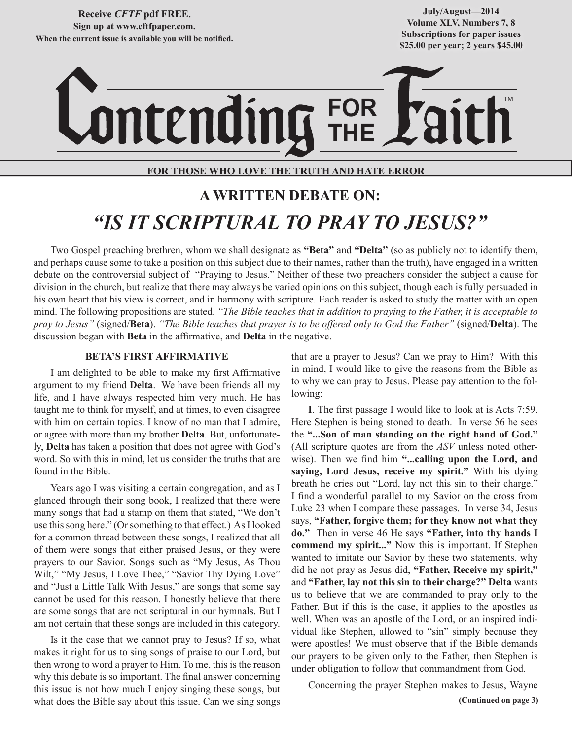**Receive** *CFTF* **pdf FREE. Sign up at www.cftfpaper.com. When the current issue is available you will be notified.**

**July/August—2014 Volume XLV, Numbers 7, 8 Subscriptions for paper issues \$25.00 per year; 2 years \$45.00**

# **FOR THE** TM

## **FOR THOSE WHO LOVE THE TRUTH AND HATE ERROR**

# **A WRITTEN DEBATE ON:** *"IS IT SCRIPTURAL TO PRAY TO JESUS?"*

Two Gospel preaching brethren, whom we shall designate as **"Beta"** and **"Delta"** (so as publicly not to identify them, and perhaps cause some to take a position on this subject due to their names, rather than the truth), have engaged in a written debate on the controversial subject of "Praying to Jesus." Neither of these two preachers consider the subject a cause for division in the church, but realize that there may always be varied opinions on this subject, though each is fully persuaded in his own heart that his view is correct, and in harmony with scripture. Each reader is asked to study the matter with an open mind. The following propositions are stated. *"The Bible teaches that in addition to praying to the Father, it is acceptable to pray to Jesus"* (signed/**Beta**). *"The Bible teaches that prayer is to be offered only to God the Father"* (signed/**Delta**). The discussion began with **Beta** in the affirmative, and **Delta** in the negative.

#### **BETA'S FIRST AFFIRMATIVE**

I am delighted to be able to make my first Affirmative argument to my friend **Delta**. We have been friends all my life, and I have always respected him very much. He has taught me to think for myself, and at times, to even disagree with him on certain topics. I know of no man that I admire, or agree with more than my brother **Delta**. But, unfortunately, **Delta** has taken a position that does not agree with God's word. So with this in mind, let us consider the truths that are found in the Bible.

Years ago I was visiting a certain congregation, and as I glanced through their song book, I realized that there were many songs that had a stamp on them that stated, "We don't use this song here." (Or something to that effect.) As I looked for a common thread between these songs, I realized that all of them were songs that either praised Jesus, or they were prayers to our Savior. Songs such as "My Jesus, As Thou Wilt," "My Jesus, I Love Thee," "Savior Thy Dying Love" and "Just a Little Talk With Jesus," are songs that some say cannot be used for this reason. I honestly believe that there are some songs that are not scriptural in our hymnals. But I am not certain that these songs are included in this category.

Is it the case that we cannot pray to Jesus? If so, what makes it right for us to sing songs of praise to our Lord, but then wrong to word a prayer to Him. To me, this is the reason why this debate is so important. The final answer concerning this issue is not how much I enjoy singing these songs, but what does the Bible say about this issue. Can we sing songs

that are a prayer to Jesus? Can we pray to Him? With this in mind, I would like to give the reasons from the Bible as to why we can pray to Jesus. Please pay attention to the following:

**I**. The first passage I would like to look at is Acts 7:59. Here Stephen is being stoned to death. In verse 56 he sees the **"...Son of man standing on the right hand of God."** (All scripture quotes are from the *ASV* unless noted otherwise). Then we find him **"...calling upon the Lord, and saying, Lord Jesus, receive my spirit."** With his dying breath he cries out "Lord, lay not this sin to their charge." I find a wonderful parallel to my Savior on the cross from Luke 23 when I compare these passages. In verse 34, Jesus says, **"Father, forgive them; for they know not what they do."** Then in verse 46 He says **"Father, into thy hands I commend my spirit..."** Now this is important. If Stephen wanted to imitate our Savior by these two statements, why did he not pray as Jesus did, **"Father, Receive my spirit,"** and **"Father, lay not this sin to their charge?" Delta** wants us to believe that we are commanded to pray only to the Father. But if this is the case, it applies to the apostles as well. When was an apostle of the Lord, or an inspired individual like Stephen, allowed to "sin" simply because they were apostles! We must observe that if the Bible demands our prayers to be given only to the Father, then Stephen is under obligation to follow that commandment from God.

**(Continued on page 3)** Concerning the prayer Stephen makes to Jesus, Wayne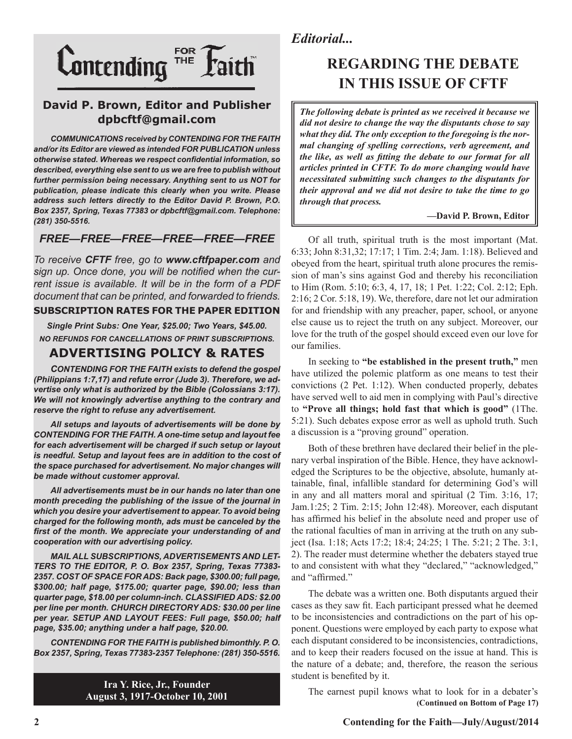

## **David P. Brown, Editor and Publisher dpbcftf@gmail.com**

*COMMUNICATIONS received by CONTENDING FOR THE FAITH and/or its Editor are viewed as intended FOR PUBLICATION unless otherwise stated. Whereas we respect confidential information, so described, everything else sent to us we are free to publish without further permission being necessary. Anything sent to us NOT for publication, please indicate this clearly when you write. Please address such letters directly to the Editor David P. Brown, P.O. Box 2357, Spring, Texas 77383 or dpbcftf@gmail.com. Telephone: (281) 350-5516.*

## *FREE—FREE—FREE—FREE—FREE—FREE*

*To receive CFTF free, go to www.cftfpaper.com and sign up. Once done, you will be notified when the current issue is available. It will be in the form of a PDF document that can be printed, and forwarded to friends.*

### **SUBSCRIPTION RATES FOR THE PAPER EDITION**

*Single Print Subs: One Year, \$25.00; Two Years, \$45.00. NO REFUNDS FOR CANCELLATIONS OF PRINT SUBSCRIPTIONS.*

## **ADVERTISING POLICY & RATES**

*CONTENDING FOR THE FAITH exists to defend the gospel (Philippians 1:7,17) and refute error (Jude 3). Therefore, we advertise only what is authorized by the Bible (Colossians 3:17). We will not knowingly advertise anything to the contrary and reserve the right to refuse any advertisement.*

*All setups and layouts of advertisements will be done by CONTENDING FOR THE FAITH. A one-time setup and layout fee for each advertisement will be charged if such setup or layout is needful. Setup and layout fees are in addition to the cost of the space purchased for advertisement. No major changes will be made without customer approval.*

*All advertisements must be in our hands no later than one month preceding the publishing of the issue of the journal in which you desire your advertisement to appear. To avoid being charged for the following month, ads must be canceled by the first of the month. We appreciate your understanding of and cooperation with our advertising policy.*

*MAIL ALL SUBSCRIPTIONS, ADVERTISEMENTS AND LET-TERS TO THE EDITOR, P. O. Box 2357, Spring, Texas 77383- 2357. COST OF SPACE FOR ADS: Back page, \$300.00; full page, \$300.00; half page, \$175.00; quarter page, \$90.00; less than quarter page, \$18.00 per column-inch. CLASSIFIED ADS: \$2.00 per line per month. CHURCH DIRECTORY ADS: \$30.00 per line per year. SETUP AND LAYOUT FEES: Full page, \$50.00; half page, \$35.00; anything under a half page, \$20.00.*

*CONTENDING FOR THE FAITH is published bimonthly. P. O. Box 2357, Spring, Texas 77383-2357 Telephone: (281) 350-5516.*

> **Ira Y. Rice, Jr., Founder August 3, 1917-October 10, 2001**

# *Editorial...*

# **REGARDING THE DEBATE IN THIS ISSUE OF CFTF**

*The following debate is printed as we received it because we did not desire to change the way the disputants chose to say what they did. The only exception to the foregoing is the normal changing of spelling corrections, verb agreement, and the like, as well as fitting the debate to our format for all articles printed in CFTF. To do more changing would have necessitated submitting such changes to the disputants for their approval and we did not desire to take the time to go through that process.* 

#### **—David P. Brown, Editor**

Of all truth, spiritual truth is the most important (Mat. 6:33; John 8:31,32; 17:17; 1 Tim. 2:4; Jam. 1:18). Believed and obeyed from the heart, spiritual truth alone procures the remission of man's sins against God and thereby his reconciliation to Him (Rom. 5:10; 6:3, 4, 17, 18; 1 Pet. 1:22; Col. 2:12; Eph. 2:16; 2 Cor. 5:18, 19). We, therefore, dare not let our admiration for and friendship with any preacher, paper, school, or anyone else cause us to reject the truth on any subject. Moreover, our love for the truth of the gospel should exceed even our love for our families.

In seeking to **"be established in the present truth,"** men have utilized the polemic platform as one means to test their convictions (2 Pet. 1:12). When conducted properly, debates have served well to aid men in complying with Paul's directive to **"Prove all things; hold fast that which is good"** (1The. 5:21). Such debates expose error as well as uphold truth. Such a discussion is a "proving ground" operation.

Both of these brethren have declared their belief in the plenary verbal inspiration of the Bible. Hence, they have acknowledged the Scriptures to be the objective, absolute, humanly attainable, final, infallible standard for determining God's will in any and all matters moral and spiritual (2 Tim. 3:16, 17; Jam.1:25; 2 Tim. 2:15; John 12:48). Moreover, each disputant has affirmed his belief in the absolute need and proper use of the rational faculties of man in arriving at the truth on any subject (Isa. 1:18; Acts 17:2; 18:4; 24:25; 1 The. 5:21; 2 The. 3:1, 2). The reader must determine whether the debaters stayed true to and consistent with what they "declared," "acknowledged," and "affirmed."

The debate was a written one. Both disputants argued their cases as they saw fit. Each participant pressed what he deemed to be inconsistencies and contradictions on the part of his opponent. Questions were employed by each party to expose what each disputant considered to be inconsistencies, contradictions, and to keep their readers focused on the issue at hand. This is the nature of a debate; and, therefore, the reason the serious student is benefited by it.

**(Continued on Bottom of Page 17)** The earnest pupil knows what to look for in a debater's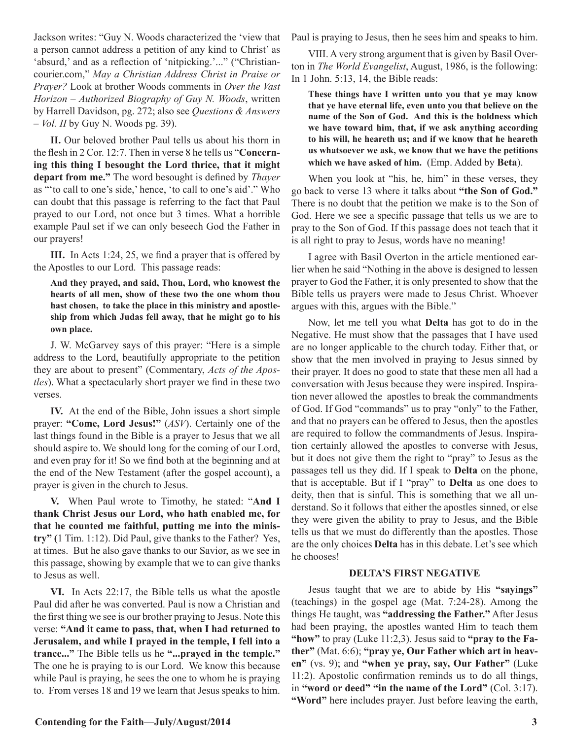Jackson writes: "Guy N. Woods characterized the 'view that a person cannot address a petition of any kind to Christ' as 'absurd,' and as a reflection of 'nitpicking.'..." ("Christiancourier.com," *May a Christian Address Christ in Praise or Prayer?* Look at brother Woods comments in *Over the Vast Horizon – Authorized Biography of Guy N. Woods*, written by Harrell Davidson, pg. 272; also see *Questions & Answers – Vol. II* by Guy N. Woods pg. 39).

**II.** Our beloved brother Paul tells us about his thorn in the flesh in 2 Cor. 12:7. Then in verse 8 he tells us "**Concerning this thing I besought the Lord thrice, that it might depart from me."** The word besought is defined by *Thayer* as "'to call to one's side,' hence, 'to call to one's aid'." Who can doubt that this passage is referring to the fact that Paul prayed to our Lord, not once but 3 times. What a horrible example Paul set if we can only beseech God the Father in our prayers!

**III.** In Acts 1:24, 25, we find a prayer that is offered by the Apostles to our Lord. This passage reads:

**And they prayed, and said, Thou, Lord, who knowest the hearts of all men, show of these two the one whom thou hast chosen, to take the place in this ministry and apostleship from which Judas fell away, that he might go to his own place.**

J. W. McGarvey says of this prayer: "Here is a simple address to the Lord, beautifully appropriate to the petition they are about to present" (Commentary, *Acts of the Apostles*). What a spectacularly short prayer we find in these two verses.

**IV.** At the end of the Bible, John issues a short simple prayer: **"Come, Lord Jesus!"** (*ASV*). Certainly one of the last things found in the Bible is a prayer to Jesus that we all should aspire to. We should long for the coming of our Lord, and even pray for it! So we find both at the beginning and at the end of the New Testament (after the gospel account), a prayer is given in the church to Jesus.

**V.** When Paul wrote to Timothy, he stated: "**And I thank Christ Jesus our Lord, who hath enabled me, for that he counted me faithful, putting me into the ministry" (**1 Tim. 1:12). Did Paul, give thanks to the Father? Yes, at times. But he also gave thanks to our Savior, as we see in this passage, showing by example that we to can give thanks to Jesus as well.

**VI.** In Acts 22:17, the Bible tells us what the apostle Paul did after he was converted. Paul is now a Christian and the first thing we see is our brother praying to Jesus. Note this verse: **"And it came to pass, that, when I had returned to Jerusalem, and while I prayed in the temple, I fell into a trance..."** The Bible tells us he **"...prayed in the temple."**  The one he is praying to is our Lord. We know this because while Paul is praying, he sees the one to whom he is praying to. From verses 18 and 19 we learn that Jesus speaks to him. Paul is praying to Jesus, then he sees him and speaks to him.

VIII. A very strong argument that is given by Basil Overton in *The World Evangelist*, August, 1986, is the following: In 1 John. 5:13, 14, the Bible reads:

**These things have I written unto you that ye may know that ye have eternal life, even unto you that believe on the name of the Son of God. And this is the boldness which we have toward him, that, if we ask anything according to his will, he heareth us; and if we know that he heareth us whatsoever we ask, we know that we have the petitions which we have asked of him.** (Emp. Added by **Beta**).

When you look at "his, he, him" in these verses, they go back to verse 13 where it talks about **"the Son of God."**  There is no doubt that the petition we make is to the Son of God. Here we see a specific passage that tells us we are to pray to the Son of God. If this passage does not teach that it is all right to pray to Jesus, words have no meaning!

I agree with Basil Overton in the article mentioned earlier when he said "Nothing in the above is designed to lessen prayer to God the Father, it is only presented to show that the Bible tells us prayers were made to Jesus Christ. Whoever argues with this, argues with the Bible."

Now, let me tell you what **Delta** has got to do in the Negative. He must show that the passages that I have used are no longer applicable to the church today. Either that, or show that the men involved in praying to Jesus sinned by their prayer. It does no good to state that these men all had a conversation with Jesus because they were inspired. Inspiration never allowed the apostles to break the commandments of God. If God "commands" us to pray "only" to the Father, and that no prayers can be offered to Jesus, then the apostles are required to follow the commandments of Jesus. Inspiration certainly allowed the apostles to converse with Jesus, but it does not give them the right to "pray" to Jesus as the passages tell us they did. If I speak to **Delta** on the phone, that is acceptable. But if I "pray" to **Delta** as one does to deity, then that is sinful. This is something that we all understand. So it follows that either the apostles sinned, or else they were given the ability to pray to Jesus, and the Bible tells us that we must do differently than the apostles. Those are the only choices **Delta** has in this debate. Let's see which he chooses!

#### **DELTA'S FIRST NEGATIVE**

Jesus taught that we are to abide by His **"sayings"** (teachings) in the gospel age (Mat. 7:24-28). Among the things He taught, was **"addressing the Father."** After Jesus had been praying, the apostles wanted Him to teach them **"how"** to pray (Luke 11:2,3). Jesus said to **"pray to the Father"** (Mat. 6:6); **"pray ye, Our Father which art in heaven"** (vs. 9); and **"when ye pray, say, Our Father"** (Luke 11:2). Apostolic confirmation reminds us to do all things, in **"word or deed" "in the name of the Lord"** (Col. 3:17). **"Word"** here includes prayer. Just before leaving the earth,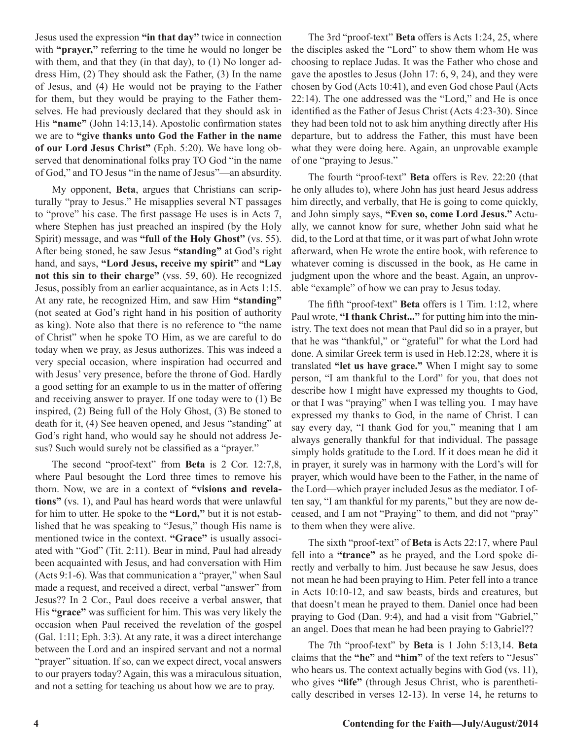Jesus used the expression **"in that day"** twice in connection with **"prayer,"** referring to the time he would no longer be with them, and that they (in that day), to (1) No longer address Him, (2) They should ask the Father, (3) In the name of Jesus, and (4) He would not be praying to the Father for them, but they would be praying to the Father themselves. He had previously declared that they should ask in His **"name"** (John 14:13,14). Apostolic confirmation states we are to **"give thanks unto God the Father in the name of our Lord Jesus Christ"** (Eph. 5:20). We have long observed that denominational folks pray TO God "in the name of God," and TO Jesus "in the name of Jesus"—an absurdity.

My opponent, **Beta**, argues that Christians can scripturally "pray to Jesus." He misapplies several NT passages to "prove" his case. The first passage He uses is in Acts 7, where Stephen has just preached an inspired (by the Holy Spirit) message, and was **"full of the Holy Ghost"** (vs. 55). After being stoned, he saw Jesus **"standing"** at God's right hand, and says, **"Lord Jesus, receive my spirit"** and **"Lay not this sin to their charge"** (vss. 59, 60). He recognized Jesus, possibly from an earlier acquaintance, as in Acts 1:15. At any rate, he recognized Him, and saw Him **"standing"** (not seated at God's right hand in his position of authority as king). Note also that there is no reference to "the name of Christ" when he spoke TO Him, as we are careful to do today when we pray, as Jesus authorizes. This was indeed a very special occasion, where inspiration had occurred and with Jesus' very presence, before the throne of God. Hardly a good setting for an example to us in the matter of offering and receiving answer to prayer. If one today were to (1) Be inspired, (2) Being full of the Holy Ghost, (3) Be stoned to death for it, (4) See heaven opened, and Jesus "standing" at God's right hand, who would say he should not address Jesus? Such would surely not be classified as a "prayer."

The second "proof-text" from **Beta** is 2 Cor. 12:7,8, where Paul besought the Lord three times to remove his thorn. Now, we are in a context of **"visions and revelations"** (vs. 1), and Paul has heard words that were unlawful for him to utter. He spoke to the **"Lord,"** but it is not established that he was speaking to "Jesus," though His name is mentioned twice in the context. **"Grace"** is usually associated with "God" (Tit. 2:11). Bear in mind, Paul had already been acquainted with Jesus, and had conversation with Him (Acts 9:1-6). Was that communication a "prayer," when Saul made a request, and received a direct, verbal "answer" from Jesus?? In 2 Cor., Paul does receive a verbal answer, that His **"grace"** was sufficient for him. This was very likely the occasion when Paul received the revelation of the gospel (Gal. 1:11; Eph. 3:3). At any rate, it was a direct interchange between the Lord and an inspired servant and not a normal "prayer" situation. If so, can we expect direct, vocal answers to our prayers today? Again, this was a miraculous situation, and not a setting for teaching us about how we are to pray.

The 3rd "proof-text" **Beta** offers is Acts 1:24, 25, where the disciples asked the "Lord" to show them whom He was choosing to replace Judas. It was the Father who chose and gave the apostles to Jesus (John 17: 6, 9, 24), and they were chosen by God (Acts 10:41), and even God chose Paul (Acts 22:14). The one addressed was the "Lord," and He is once identified as the Father of Jesus Christ (Acts 4:23-30). Since they had been told not to ask him anything directly after His departure, but to address the Father, this must have been what they were doing here. Again, an unprovable example of one "praying to Jesus."

The fourth "proof-text" **Beta** offers is Rev. 22:20 (that he only alludes to), where John has just heard Jesus address him directly, and verbally, that He is going to come quickly, and John simply says, **"Even so, come Lord Jesus."** Actually, we cannot know for sure, whether John said what he did, to the Lord at that time, or it was part of what John wrote afterward, when He wrote the entire book, with reference to whatever coming is discussed in the book, as He came in judgment upon the whore and the beast. Again, an unprovable "example" of how we can pray to Jesus today.

The fifth "proof-text" **Beta** offers is 1 Tim. 1:12, where Paul wrote, "I thank Christ..." for putting him into the ministry. The text does not mean that Paul did so in a prayer, but that he was "thankful," or "grateful" for what the Lord had done. A similar Greek term is used in Heb.12:28, where it is translated **"let us have grace."** When I might say to some person, "I am thankful to the Lord" for you, that does not describe how I might have expressed my thoughts to God, or that I was "praying" when I was telling you. I may have expressed my thanks to God, in the name of Christ. I can say every day, "I thank God for you," meaning that I am always generally thankful for that individual. The passage simply holds gratitude to the Lord. If it does mean he did it in prayer, it surely was in harmony with the Lord's will for prayer, which would have been to the Father, in the name of the Lord—which prayer included Jesus as the mediator. I often say, "I am thankful for my parents," but they are now deceased, and I am not "Praying" to them, and did not "pray" to them when they were alive.

The sixth "proof-text" of **Beta** is Acts 22:17, where Paul fell into a **"trance"** as he prayed, and the Lord spoke directly and verbally to him. Just because he saw Jesus, does not mean he had been praying to Him. Peter fell into a trance in Acts 10:10-12, and saw beasts, birds and creatures, but that doesn't mean he prayed to them. Daniel once had been praying to God (Dan. 9:4), and had a visit from "Gabriel," an angel. Does that mean he had been praying to Gabriel??

The 7th "proof-text" by **Beta** is 1 John 5:13,14. **Beta** claims that the **"he"** and **"him"** of the text refers to "Jesus" who hears us. The context actually begins with God (vs. 11), who gives **"life"** (through Jesus Christ, who is parenthetically described in verses 12-13). In verse 14, he returns to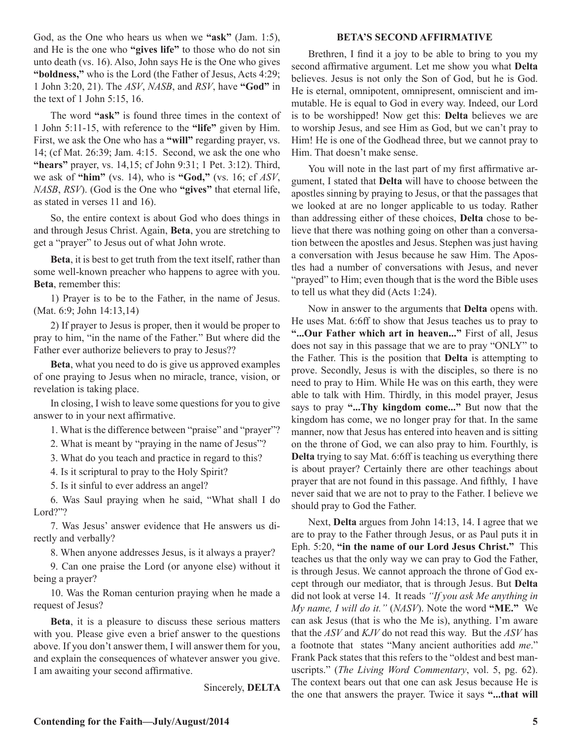God, as the One who hears us when we **"ask"** (Jam. 1:5), and He is the one who **"gives life"** to those who do not sin unto death (vs. 16). Also, John says He is the One who gives **"boldness,"** who is the Lord (the Father of Jesus, Acts 4:29; 1 John 3:20, 21). The *ASV*, *NASB*, and *RSV*, have **"God"** in the text of 1 John 5:15, 16.

The word **"ask"** is found three times in the context of 1 John 5:11-15, with reference to the **"life"** given by Him. First, we ask the One who has a **"will"** regarding prayer, vs. 14; (cf Mat. 26:39; Jam. 4:15. Second, we ask the one who **"hears"** prayer, vs. 14,15; cf John 9:31; 1 Pet. 3:12). Third, we ask of **"him"** (vs. 14), who is **"God,"** (vs. 16; cf *ASV*, *NASB*, *RSV*). (God is the One who **"gives"** that eternal life, as stated in verses 11 and 16).

So, the entire context is about God who does things in and through Jesus Christ. Again, **Beta**, you are stretching to get a "prayer" to Jesus out of what John wrote.

**Beta**, it is best to get truth from the text itself, rather than some well-known preacher who happens to agree with you. **Beta**, remember this:

1) Prayer is to be to the Father, in the name of Jesus. (Mat. 6:9; John 14:13,14)

2) If prayer to Jesus is proper, then it would be proper to pray to him, "in the name of the Father." But where did the Father ever authorize believers to pray to Jesus??

**Beta**, what you need to do is give us approved examples of one praying to Jesus when no miracle, trance, vision, or revelation is taking place.

In closing, I wish to leave some questions for you to give answer to in your next affirmative.

1. What is the difference between "praise" and "prayer"?

2. What is meant by "praying in the name of Jesus"?

3. What do you teach and practice in regard to this?

4. Is it scriptural to pray to the Holy Spirit?

5. Is it sinful to ever address an angel?

6. Was Saul praying when he said, "What shall I do Lord?"?

7. Was Jesus' answer evidence that He answers us directly and verbally?

8. When anyone addresses Jesus, is it always a prayer?

9. Can one praise the Lord (or anyone else) without it being a prayer?

10. Was the Roman centurion praying when he made a request of Jesus?

**Beta**, it is a pleasure to discuss these serious matters with you. Please give even a brief answer to the questions above. If you don't answer them, I will answer them for you, and explain the consequences of whatever answer you give. I am awaiting your second affirmative.

Sincerely, **DELTA**

#### **BETA'S SECOND AFFIRMATIVE**

Brethren, I find it a joy to be able to bring to you my second affirmative argument. Let me show you what **Delta**  believes. Jesus is not only the Son of God, but he is God. He is eternal, omnipotent, omnipresent, omniscient and immutable. He is equal to God in every way. Indeed, our Lord is to be worshipped! Now get this: **Delta** believes we are to worship Jesus, and see Him as God, but we can't pray to Him! He is one of the Godhead three, but we cannot pray to Him. That doesn't make sense.

You will note in the last part of my first affirmative argument, I stated that **Delta** will have to choose between the apostles sinning by praying to Jesus, or that the passages that we looked at are no longer applicable to us today. Rather than addressing either of these choices, **Delta** chose to believe that there was nothing going on other than a conversation between the apostles and Jesus. Stephen was just having a conversation with Jesus because he saw Him. The Apostles had a number of conversations with Jesus, and never "prayed" to Him; even though that is the word the Bible uses to tell us what they did (Acts 1:24).

Now in answer to the arguments that **Delta** opens with. He uses Mat. 6:6ff to show that Jesus teaches us to pray to **"...Our Father which art in heaven..."** First of all, Jesus does not say in this passage that we are to pray "ONLY" to the Father. This is the position that **Delta** is attempting to prove. Secondly, Jesus is with the disciples, so there is no need to pray to Him. While He was on this earth, they were able to talk with Him. Thirdly, in this model prayer, Jesus says to pray **"...Thy kingdom come..."** But now that the kingdom has come, we no longer pray for that. In the same manner, now that Jesus has entered into heaven and is sitting on the throne of God, we can also pray to him. Fourthly, is **Delta** trying to say Mat. 6:6ff is teaching us everything there is about prayer? Certainly there are other teachings about prayer that are not found in this passage. And fifthly, I have never said that we are not to pray to the Father. I believe we should pray to God the Father.

Next, **Delta** argues from John 14:13, 14. I agree that we are to pray to the Father through Jesus, or as Paul puts it in Eph. 5:20, **"in the name of our Lord Jesus Christ."** This teaches us that the only way we can pray to God the Father, is through Jesus. We cannot approach the throne of God except through our mediator, that is through Jesus. But **Delta**  did not look at verse 14. It reads *"If you ask Me anything in My name, I will do it."* (*NASV*). Note the word **"ME."** We can ask Jesus (that is who the Me is), anything. I'm aware that the *ASV* and *KJV* do not read this way. But the *ASV* has a footnote that states "Many ancient authorities add *me*." Frank Pack states that this refers to the "oldest and best manuscripts." (*The Living Word Commentary*, vol. 5, pg. 62). The context bears out that one can ask Jesus because He is the one that answers the prayer. Twice it says **"...that will**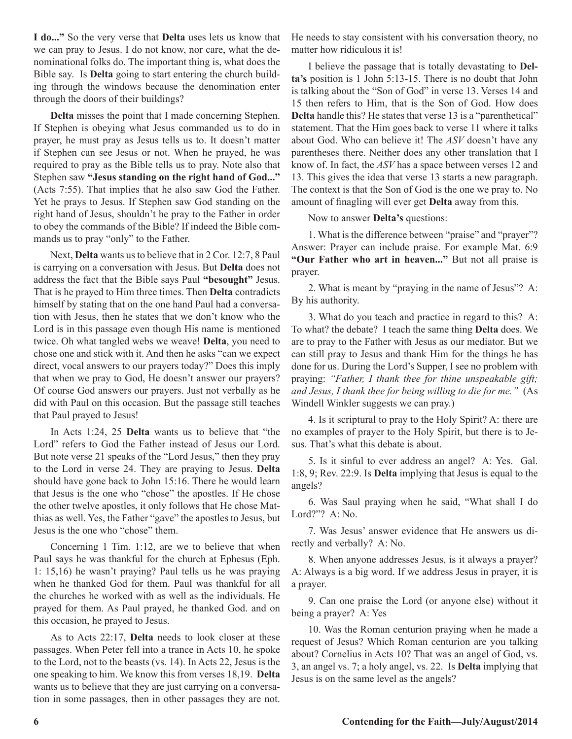**I do..."** So the very verse that **Delta** uses lets us know that we can pray to Jesus. I do not know, nor care, what the denominational folks do. The important thing is, what does the Bible say. Is **Delta** going to start entering the church building through the windows because the denomination enter through the doors of their buildings?

**Delta** misses the point that I made concerning Stephen. If Stephen is obeying what Jesus commanded us to do in prayer, he must pray as Jesus tells us to. It doesn't matter if Stephen can see Jesus or not. When he prayed, he was required to pray as the Bible tells us to pray. Note also that Stephen saw **"Jesus standing on the right hand of God..."**  (Acts 7:55). That implies that he also saw God the Father. Yet he prays to Jesus. If Stephen saw God standing on the right hand of Jesus, shouldn't he pray to the Father in order to obey the commands of the Bible? If indeed the Bible commands us to pray "only" to the Father.

Next, **Delta** wants us to believe that in 2 Cor. 12:7, 8 Paul is carrying on a conversation with Jesus. But **Delta** does not address the fact that the Bible says Paul **"besought"** Jesus. That is he prayed to Him three times. Then **Delta** contradicts himself by stating that on the one hand Paul had a conversation with Jesus, then he states that we don't know who the Lord is in this passage even though His name is mentioned twice. Oh what tangled webs we weave! **Delta**, you need to chose one and stick with it. And then he asks "can we expect direct, vocal answers to our prayers today?" Does this imply that when we pray to God, He doesn't answer our prayers? Of course God answers our prayers. Just not verbally as he did with Paul on this occasion. But the passage still teaches that Paul prayed to Jesus!

In Acts 1:24, 25 **Delta** wants us to believe that "the Lord" refers to God the Father instead of Jesus our Lord. But note verse 21 speaks of the "Lord Jesus," then they pray to the Lord in verse 24. They are praying to Jesus. **Delta**  should have gone back to John 15:16. There he would learn that Jesus is the one who "chose" the apostles. If He chose the other twelve apostles, it only follows that He chose Matthias as well. Yes, the Father "gave" the apostles to Jesus, but Jesus is the one who "chose" them.

Concerning 1 Tim. 1:12, are we to believe that when Paul says he was thankful for the church at Ephesus (Eph. 1: 15,16) he wasn't praying? Paul tells us he was praying when he thanked God for them. Paul was thankful for all the churches he worked with as well as the individuals. He prayed for them. As Paul prayed, he thanked God. and on this occasion, he prayed to Jesus.

As to Acts 22:17, **Delta** needs to look closer at these passages. When Peter fell into a trance in Acts 10, he spoke to the Lord, not to the beasts (vs. 14). In Acts 22, Jesus is the one speaking to him. We know this from verses 18,19. **Delta**  wants us to believe that they are just carrying on a conversation in some passages, then in other passages they are not.

He needs to stay consistent with his conversation theory, no matter how ridiculous it is!

I believe the passage that is totally devastating to **Delta's** position is 1 John 5:13-15. There is no doubt that John is talking about the "Son of God" in verse 13. Verses 14 and 15 then refers to Him, that is the Son of God. How does **Delta** handle this? He states that verse 13 is a "parenthetical" statement. That the Him goes back to verse 11 where it talks about God. Who can believe it! The *ASV* doesn't have any parentheses there. Neither does any other translation that I know of. In fact, the *ASV* has a space between verses 12 and 13. This gives the idea that verse 13 starts a new paragraph. The context is that the Son of God is the one we pray to. No amount of finagling will ever get **Delta** away from this.

Now to answer **Delta's** questions:

1. What is the difference between "praise" and "prayer"? Answer: Prayer can include praise. For example Mat. 6:9 **"Our Father who art in heaven..."** But not all praise is prayer.

2. What is meant by "praying in the name of Jesus"? A: By his authority.

3. What do you teach and practice in regard to this? A: To what? the debate? I teach the same thing **Delta** does. We are to pray to the Father with Jesus as our mediator. But we can still pray to Jesus and thank Him for the things he has done for us. During the Lord's Supper, I see no problem with praying: *"Father, I thank thee for thine unspeakable gift; and Jesus, I thank thee for being willing to die for me."* (As Windell Winkler suggests we can pray.)

4. Is it scriptural to pray to the Holy Spirit? A: there are no examples of prayer to the Holy Spirit, but there is to Jesus. That's what this debate is about.

5. Is it sinful to ever address an angel? A: Yes. Gal. 1:8, 9; Rev. 22:9. Is **Delta** implying that Jesus is equal to the angels?

6. Was Saul praying when he said, "What shall I do Lord?"? A: No.

7. Was Jesus' answer evidence that He answers us directly and verbally? A: No.

8. When anyone addresses Jesus, is it always a prayer? A: Always is a big word. If we address Jesus in prayer, it is a prayer.

9. Can one praise the Lord (or anyone else) without it being a prayer? A: Yes

10. Was the Roman centurion praying when he made a request of Jesus? Which Roman centurion are you talking about? Cornelius in Acts 10? That was an angel of God, vs. 3, an angel vs. 7; a holy angel, vs. 22. Is **Delta** implying that Jesus is on the same level as the angels?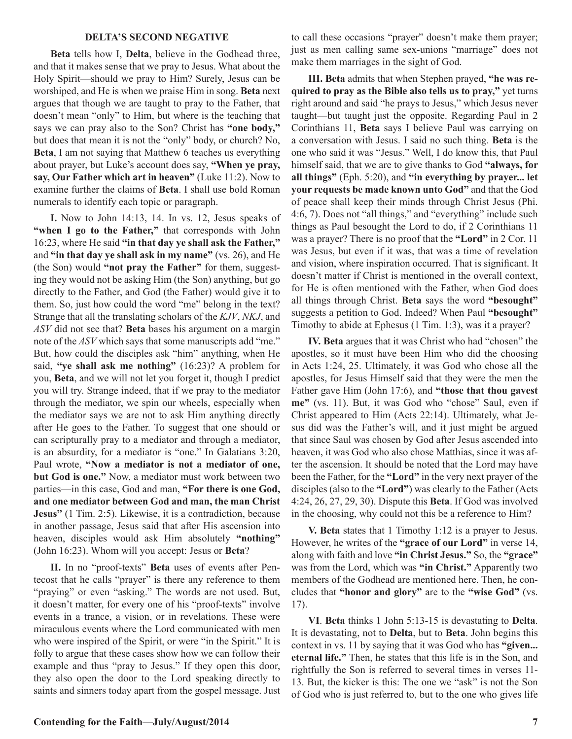#### **DELTA'S SECOND NEGATIVE**

**Beta** tells how I, **Delta**, believe in the Godhead three, and that it makes sense that we pray to Jesus. What about the Holy Spirit—should we pray to Him? Surely, Jesus can be worshiped, and He is when we praise Him in song. **Beta** next argues that though we are taught to pray to the Father, that doesn't mean "only" to Him, but where is the teaching that says we can pray also to the Son? Christ has **"one body,"** but does that mean it is not the "only" body, or church? No, **Beta**, I am not saying that Matthew 6 teaches us everything about prayer, but Luke's account does say, **"When ye pray, say, Our Father which art in heaven"** (Luke 11:2). Now to examine further the claims of **Beta**. I shall use bold Roman numerals to identify each topic or paragraph.

**I.** Now to John 14:13, 14. In vs. 12, Jesus speaks of "when I go to the Father," that corresponds with John 16:23, where He said **"in that day ye shall ask the Father,"**  and **"in that day ye shall ask in my name"** (vs. 26), and He (the Son) would **"not pray the Father"** for them, suggesting they would not be asking Him (the Son) anything, but go directly to the Father, and God (the Father) would give it to them. So, just how could the word "me" belong in the text? Strange that all the translating scholars of the *KJV*, *NKJ*, and *ASV* did not see that? **Beta** bases his argument on a margin note of the *ASV* which says that some manuscripts add "me." But, how could the disciples ask "him" anything, when He said, **"ye shall ask me nothing"** (16:23)? A problem for you, **Beta**, and we will not let you forget it, though I predict you will try. Strange indeed, that if we pray to the mediator through the mediator, we spin our wheels, especially when the mediator says we are not to ask Him anything directly after He goes to the Father. To suggest that one should or can scripturally pray to a mediator and through a mediator, is an absurdity, for a mediator is "one." In Galatians 3:20, Paul wrote, **"Now a mediator is not a mediator of one, but God is one."** Now, a mediator must work between two parties—in this case, God and man, **"For there is one God, and one mediator between God and man, the man Christ Jesus"** (1 Tim. 2:5). Likewise, it is a contradiction, because in another passage, Jesus said that after His ascension into heaven, disciples would ask Him absolutely **"nothing"** (John 16:23). Whom will you accept: Jesus or **Beta**?

**II.** In no "proof-texts" **Beta** uses of events after Pentecost that he calls "prayer" is there any reference to them "praying" or even "asking." The words are not used. But, it doesn't matter, for every one of his "proof-texts" involve events in a trance, a vision, or in revelations. These were miraculous events where the Lord communicated with men who were inspired of the Spirit, or were "in the Spirit." It is folly to argue that these cases show how we can follow their example and thus "pray to Jesus." If they open this door, they also open the door to the Lord speaking directly to saints and sinners today apart from the gospel message. Just

to call these occasions "prayer" doesn't make them prayer; just as men calling same sex-unions "marriage" does not make them marriages in the sight of God.

**III. Beta** admits that when Stephen prayed, **"he was required to pray as the Bible also tells us to pray,"** yet turns right around and said "he prays to Jesus," which Jesus never taught—but taught just the opposite. Regarding Paul in 2 Corinthians 11, **Beta** says I believe Paul was carrying on a conversation with Jesus. I said no such thing. **Beta** is the one who said it was "Jesus." Well, I do know this, that Paul himself said, that we are to give thanks to God **"always, for all things"** (Eph. 5:20), and **"in everything by prayer... let your requests be made known unto God"** and that the God of peace shall keep their minds through Christ Jesus (Phi. 4:6, 7). Does not "all things," and "everything" include such things as Paul besought the Lord to do, if 2 Corinthians 11 was a prayer? There is no proof that the **"Lord"** in 2 Cor. 11 was Jesus, but even if it was, that was a time of revelation and vision, where inspiration occurred. That is significant. It doesn't matter if Christ is mentioned in the overall context, for He is often mentioned with the Father, when God does all things through Christ. **Beta** says the word **"besought"**  suggests a petition to God. Indeed? When Paul **"besought"**  Timothy to abide at Ephesus (1 Tim. 1:3), was it a prayer?

**IV. Beta** argues that it was Christ who had "chosen" the apostles, so it must have been Him who did the choosing in Acts 1:24, 25. Ultimately, it was God who chose all the apostles, for Jesus Himself said that they were the men the Father gave Him (John 17:6), and **"those that thou gavest me"** (vs. 11). But, it was God who "chose" Saul, even if Christ appeared to Him (Acts 22:14). Ultimately, what Jesus did was the Father's will, and it just might be argued that since Saul was chosen by God after Jesus ascended into heaven, it was God who also chose Matthias, since it was after the ascension. It should be noted that the Lord may have been the Father, for the **"Lord"** in the very next prayer of the disciples (also to the **"Lord"**) was clearly to the Father (Acts 4:24, 26, 27, 29, 30). Dispute this **Beta**. If God was involved in the choosing, why could not this be a reference to Him?

**V. Beta** states that 1 Timothy 1:12 is a prayer to Jesus. However, he writes of the **"grace of our Lord"** in verse 14, along with faith and love **"in Christ Jesus."** So, the **"grace"**  was from the Lord, which was **"in Christ."** Apparently two members of the Godhead are mentioned here. Then, he concludes that **"honor and glory"** are to the **"wise God"** (vs. 17).

**VI**. **Beta** thinks 1 John 5:13-15 is devastating to **Delta**. It is devastating, not to **Delta**, but to **Beta**. John begins this context in vs. 11 by saying that it was God who has **"given... eternal life."** Then, he states that this life is in the Son, and rightfully the Son is referred to several times in verses 11- 13. But, the kicker is this: The one we "ask" is not the Son of God who is just referred to, but to the one who gives life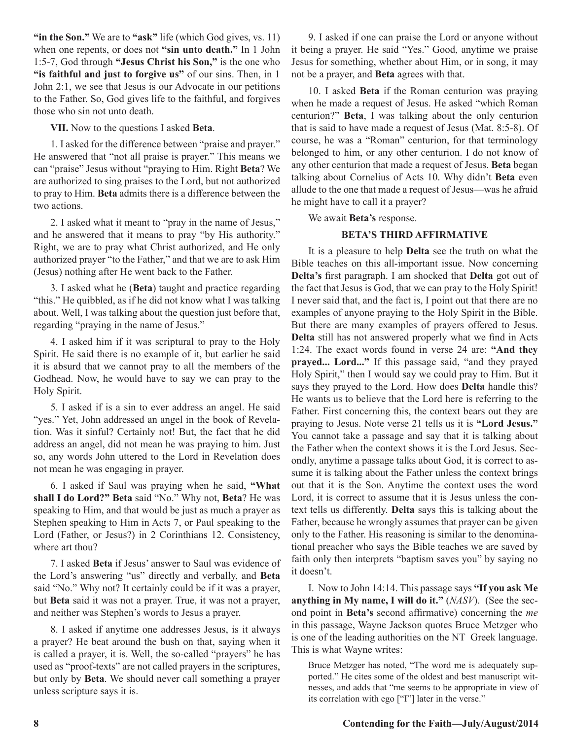**"in the Son."** We are to **"ask"** life (which God gives, vs. 11) when one repents, or does not **"sin unto death."** In 1 John 1:5-7, God through **"Jesus Christ his Son,"** is the one who **"is faithful and just to forgive us"** of our sins. Then, in 1 John 2:1, we see that Jesus is our Advocate in our petitions to the Father. So, God gives life to the faithful, and forgives those who sin not unto death.

**VII.** Now to the questions I asked **Beta**.

1. I asked for the difference between "praise and prayer." He answered that "not all praise is prayer." This means we can "praise" Jesus without "praying to Him. Right **Beta**? We are authorized to sing praises to the Lord, but not authorized to pray to Him. **Beta** admits there is a difference between the two actions.

2. I asked what it meant to "pray in the name of Jesus," and he answered that it means to pray "by His authority." Right, we are to pray what Christ authorized, and He only authorized prayer "to the Father," and that we are to ask Him (Jesus) nothing after He went back to the Father.

3. I asked what he (**Beta**) taught and practice regarding "this." He quibbled, as if he did not know what I was talking about. Well, I was talking about the question just before that, regarding "praying in the name of Jesus."

4. I asked him if it was scriptural to pray to the Holy Spirit. He said there is no example of it, but earlier he said it is absurd that we cannot pray to all the members of the Godhead. Now, he would have to say we can pray to the Holy Spirit.

5. I asked if is a sin to ever address an angel. He said "yes." Yet, John addressed an angel in the book of Revelation. Was it sinful? Certainly not! But, the fact that he did address an angel, did not mean he was praying to him. Just so, any words John uttered to the Lord in Revelation does not mean he was engaging in prayer.

6. I asked if Saul was praying when he said, **"What shall I do Lord?" Beta** said "No." Why not, **Beta**? He was speaking to Him, and that would be just as much a prayer as Stephen speaking to Him in Acts 7, or Paul speaking to the Lord (Father, or Jesus?) in 2 Corinthians 12. Consistency, where art thou?

7. I asked **Beta** if Jesus' answer to Saul was evidence of the Lord's answering "us" directly and verbally, and **Beta** said "No." Why not? It certainly could be if it was a prayer, but **Beta** said it was not a prayer. True, it was not a prayer, and neither was Stephen's words to Jesus a prayer.

8. I asked if anytime one addresses Jesus, is it always a prayer? He beat around the bush on that, saying when it is called a prayer, it is. Well, the so-called "prayers" he has used as "proof-texts" are not called prayers in the scriptures, but only by **Beta**. We should never call something a prayer unless scripture says it is.

9. I asked if one can praise the Lord or anyone without it being a prayer. He said "Yes." Good, anytime we praise Jesus for something, whether about Him, or in song, it may not be a prayer, and **Beta** agrees with that.

10. I asked **Beta** if the Roman centurion was praying when he made a request of Jesus. He asked "which Roman centurion?" **Beta**, I was talking about the only centurion that is said to have made a request of Jesus (Mat. 8:5-8). Of course, he was a "Roman" centurion, for that terminology belonged to him, or any other centurion. I do not know of any other centurion that made a request of Jesus. **Beta** began talking about Cornelius of Acts 10. Why didn't **Beta** even allude to the one that made a request of Jesus—was he afraid he might have to call it a prayer?

We await **Beta's** response.

## **BETA'S THIRD AFFIRMATIVE**

It is a pleasure to help **Delta** see the truth on what the Bible teaches on this all-important issue. Now concerning **Delta's** first paragraph. I am shocked that **Delta** got out of the fact that Jesus is God, that we can pray to the Holy Spirit! I never said that, and the fact is, I point out that there are no examples of anyone praying to the Holy Spirit in the Bible. But there are many examples of prayers offered to Jesus. **Delta** still has not answered properly what we find in Acts 1:24. The exact words found in verse 24 are: **"And they prayed... Lord..."** If this passage said, "and they prayed Holy Spirit," then I would say we could pray to Him. But it says they prayed to the Lord. How does **Delta** handle this? He wants us to believe that the Lord here is referring to the Father. First concerning this, the context bears out they are praying to Jesus. Note verse 21 tells us it is **"Lord Jesus."**  You cannot take a passage and say that it is talking about the Father when the context shows it is the Lord Jesus. Secondly, anytime a passage talks about God, it is correct to assume it is talking about the Father unless the context brings out that it is the Son. Anytime the context uses the word Lord, it is correct to assume that it is Jesus unless the context tells us differently. **Delta** says this is talking about the Father, because he wrongly assumes that prayer can be given only to the Father. His reasoning is similar to the denominational preacher who says the Bible teaches we are saved by faith only then interprets "baptism saves you" by saying no it doesn't.

I. Now to John 14:14. This passage says **"If you ask Me anything in My name, I will do it."** (*NASV*). (See the second point in **Beta's** second affirmative) concerning the *me*  in this passage, Wayne Jackson quotes Bruce Metzger who is one of the leading authorities on the NT Greek language. This is what Wayne writes:

Bruce Metzger has noted, "The word me is adequately supported." He cites some of the oldest and best manuscript witnesses, and adds that "me seems to be appropriate in view of its correlation with ego ["I"] later in the verse."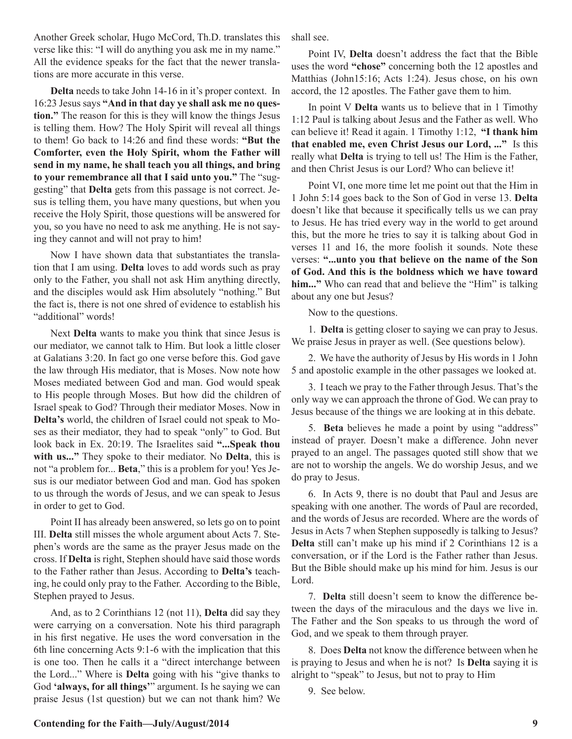Another Greek scholar, Hugo McCord, Th.D. translates this verse like this: "I will do anything you ask me in my name." All the evidence speaks for the fact that the newer translations are more accurate in this verse.

**Delta** needs to take John 14-16 in it's proper context. In 16:23 Jesus says **"And in that day ye shall ask me no question."** The reason for this is they will know the things Jesus is telling them. How? The Holy Spirit will reveal all things to them! Go back to 14:26 and find these words: **"But the Comforter, even the Holy Spirit, whom the Father will send in my name, he shall teach you all things, and bring to your remembrance all that I said unto you."** The "suggesting" that **Delta** gets from this passage is not correct. Jesus is telling them, you have many questions, but when you receive the Holy Spirit, those questions will be answered for you, so you have no need to ask me anything. He is not saying they cannot and will not pray to him!

Now I have shown data that substantiates the translation that I am using. **Delta** loves to add words such as pray only to the Father, you shall not ask Him anything directly, and the disciples would ask Him absolutely "nothing." But the fact is, there is not one shred of evidence to establish his "additional" words!

Next **Delta** wants to make you think that since Jesus is our mediator, we cannot talk to Him. But look a little closer at Galatians 3:20. In fact go one verse before this. God gave the law through His mediator, that is Moses. Now note how Moses mediated between God and man. God would speak to His people through Moses. But how did the children of Israel speak to God? Through their mediator Moses. Now in **Delta's** world, the children of Israel could not speak to Moses as their mediator, they had to speak "only" to God. But look back in Ex. 20:19. The Israelites said **"...Speak thou with us..."** They spoke to their mediator. No **Delta**, this is not "a problem for... **Beta**," this is a problem for you! Yes Jesus is our mediator between God and man. God has spoken to us through the words of Jesus, and we can speak to Jesus in order to get to God.

Point II has already been answered, so lets go on to point III. **Delta** still misses the whole argument about Acts 7. Stephen's words are the same as the prayer Jesus made on the cross. If **Delta** is right, Stephen should have said those words to the Father rather than Jesus. According to **Delta's** teaching, he could only pray to the Father. According to the Bible, Stephen prayed to Jesus.

And, as to 2 Corinthians 12 (not 11), **Delta** did say they were carrying on a conversation. Note his third paragraph in his first negative. He uses the word conversation in the 6th line concerning Acts 9:1-6 with the implication that this is one too. Then he calls it a "direct interchange between the Lord..." Where is **Delta** going with his "give thanks to God **'always, for all things'**" argument. Is he saying we can praise Jesus (1st question) but we can not thank him? We shall see.

Point IV, **Delta** doesn't address the fact that the Bible uses the word **"chose"** concerning both the 12 apostles and Matthias (John15:16; Acts 1:24). Jesus chose, on his own accord, the 12 apostles. The Father gave them to him.

In point V **Delta** wants us to believe that in 1 Timothy 1:12 Paul is talking about Jesus and the Father as well. Who can believe it! Read it again. 1 Timothy 1:12, **"I thank him that enabled me, even Christ Jesus our Lord, ..."** Is this really what **Delta** is trying to tell us! The Him is the Father, and then Christ Jesus is our Lord? Who can believe it!

Point VI, one more time let me point out that the Him in 1 John 5:14 goes back to the Son of God in verse 13. **Delta**  doesn't like that because it specifically tells us we can pray to Jesus. He has tried every way in the world to get around this, but the more he tries to say it is talking about God in verses 11 and 16, the more foolish it sounds. Note these verses: **"...unto you that believe on the name of the Son of God. And this is the boldness which we have toward**  him..." Who can read that and believe the "Him" is talking about any one but Jesus?

Now to the questions.

1. **Delta** is getting closer to saying we can pray to Jesus. We praise Jesus in prayer as well. (See questions below).

2. We have the authority of Jesus by His words in 1 John 5 and apostolic example in the other passages we looked at.

3. I teach we pray to the Father through Jesus. That's the only way we can approach the throne of God. We can pray to Jesus because of the things we are looking at in this debate.

5. **Beta** believes he made a point by using "address" instead of prayer. Doesn't make a difference. John never prayed to an angel. The passages quoted still show that we are not to worship the angels. We do worship Jesus, and we do pray to Jesus.

6. In Acts 9, there is no doubt that Paul and Jesus are speaking with one another. The words of Paul are recorded, and the words of Jesus are recorded. Where are the words of Jesus in Acts 7 when Stephen supposedly is talking to Jesus? **Delta** still can't make up his mind if 2 Corinthians 12 is a conversation, or if the Lord is the Father rather than Jesus. But the Bible should make up his mind for him. Jesus is our Lord.

7. **Delta** still doesn't seem to know the difference between the days of the miraculous and the days we live in. The Father and the Son speaks to us through the word of God, and we speak to them through prayer.

8. Does **Delta** not know the difference between when he is praying to Jesus and when he is not? Is **Delta** saying it is alright to "speak" to Jesus, but not to pray to Him

9. See below.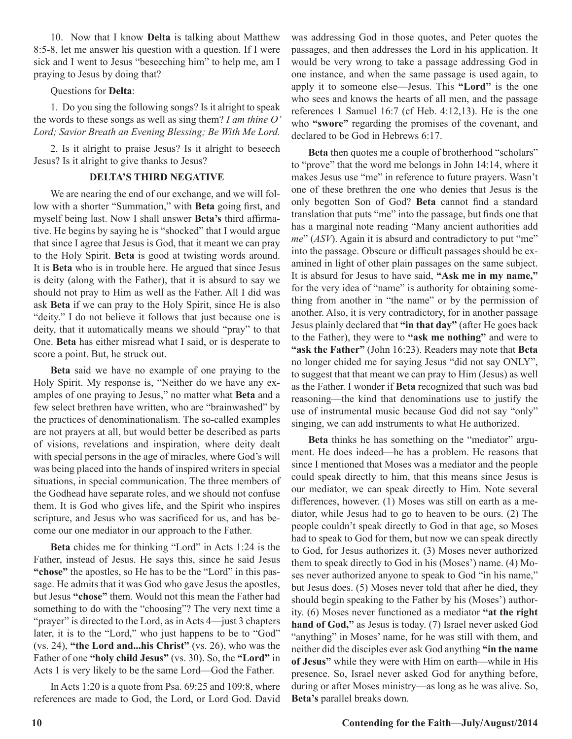10. Now that I know **Delta** is talking about Matthew 8:5-8, let me answer his question with a question. If I were sick and I went to Jesus "beseeching him" to help me, am I praying to Jesus by doing that?

### Questions for **Delta**:

1. Do you sing the following songs? Is it alright to speak the words to these songs as well as sing them? *I am thine O' Lord; Savior Breath an Evening Blessing; Be With Me Lord.*

2. Is it alright to praise Jesus? Is it alright to beseech Jesus? Is it alright to give thanks to Jesus?

## **DELTA'S THIRD NEGATIVE**

We are nearing the end of our exchange, and we will follow with a shorter "Summation," with **Beta** going first, and myself being last. Now I shall answer **Beta's** third affirmative. He begins by saying he is "shocked" that I would argue that since I agree that Jesus is God, that it meant we can pray to the Holy Spirit. **Beta** is good at twisting words around. It is **Beta** who is in trouble here. He argued that since Jesus is deity (along with the Father), that it is absurd to say we should not pray to Him as well as the Father. All I did was ask **Beta** if we can pray to the Holy Spirit, since He is also "deity." I do not believe it follows that just because one is deity, that it automatically means we should "pray" to that One. **Beta** has either misread what I said, or is desperate to score a point. But, he struck out.

**Beta** said we have no example of one praying to the Holy Spirit. My response is, "Neither do we have any examples of one praying to Jesus," no matter what **Beta** and a few select brethren have written, who are "brainwashed" by the practices of denominationalism. The so-called examples are not prayers at all, but would better be described as parts of visions, revelations and inspiration, where deity dealt with special persons in the age of miracles, where God's will was being placed into the hands of inspired writers in special situations, in special communication. The three members of the Godhead have separate roles, and we should not confuse them. It is God who gives life, and the Spirit who inspires scripture, and Jesus who was sacrificed for us, and has become our one mediator in our approach to the Father.

**Beta** chides me for thinking "Lord" in Acts 1:24 is the Father, instead of Jesus. He says this, since he said Jesus **"chose"** the apostles, so He has to be the "Lord" in this passage. He admits that it was God who gave Jesus the apostles, but Jesus **"chose"** them. Would not this mean the Father had something to do with the "choosing"? The very next time a "prayer" is directed to the Lord, as in Acts 4—just 3 chapters later, it is to the "Lord," who just happens to be to "God" (vs. 24), **"the Lord and...his Christ"** (vs. 26), who was the Father of one **"holy child Jesus"** (vs. 30). So, the **"Lord"** in Acts 1 is very likely to be the same Lord—God the Father.

In Acts 1:20 is a quote from Psa. 69:25 and 109:8, where references are made to God, the Lord, or Lord God. David was addressing God in those quotes, and Peter quotes the passages, and then addresses the Lord in his application. It would be very wrong to take a passage addressing God in one instance, and when the same passage is used again, to apply it to someone else—Jesus. This **"Lord"** is the one who sees and knows the hearts of all men, and the passage references 1 Samuel 16:7 (cf Heb. 4:12,13). He is the one who **"swore"** regarding the promises of the covenant, and declared to be God in Hebrews 6:17.

**Beta** then quotes me a couple of brotherhood "scholars" to "prove" that the word me belongs in John 14:14, where it makes Jesus use "me" in reference to future prayers. Wasn't one of these brethren the one who denies that Jesus is the only begotten Son of God? **Beta** cannot find a standard translation that puts "me" into the passage, but finds one that has a marginal note reading "Many ancient authorities add *me*" (*ASV*). Again it is absurd and contradictory to put "me" into the passage. Obscure or difficult passages should be examined in light of other plain passages on the same subject. It is absurd for Jesus to have said, **"Ask me in my name,"** for the very idea of "name" is authority for obtaining something from another in "the name" or by the permission of another. Also, it is very contradictory, for in another passage Jesus plainly declared that **"in that day"** (after He goes back to the Father), they were to **"ask me nothing"** and were to **"ask the Father"** (John 16:23). Readers may note that **Beta**  no longer chided me for saying Jesus "did not say ONLY", to suggest that that meant we can pray to Him (Jesus) as well as the Father. I wonder if **Beta** recognized that such was bad reasoning—the kind that denominations use to justify the use of instrumental music because God did not say "only" singing, we can add instruments to what He authorized.

**Beta** thinks he has something on the "mediator" argument. He does indeed—he has a problem. He reasons that since I mentioned that Moses was a mediator and the people could speak directly to him, that this means since Jesus is our mediator, we can speak directly to Him. Note several differences, however. (1) Moses was still on earth as a mediator, while Jesus had to go to heaven to be ours. (2) The people couldn't speak directly to God in that age, so Moses had to speak to God for them, but now we can speak directly to God, for Jesus authorizes it. (3) Moses never authorized them to speak directly to God in his (Moses') name. (4) Moses never authorized anyone to speak to God "in his name," but Jesus does. (5) Moses never told that after he died, they should begin speaking to the Father by his (Moses') authority. (6) Moses never functioned as a mediator **"at the right hand of God,"** as Jesus is today. (7) Israel never asked God "anything" in Moses' name, for he was still with them, and neither did the disciples ever ask God anything **"in the name of Jesus"** while they were with Him on earth—while in His presence. So, Israel never asked God for anything before, during or after Moses ministry—as long as he was alive. So, **Beta's** parallel breaks down.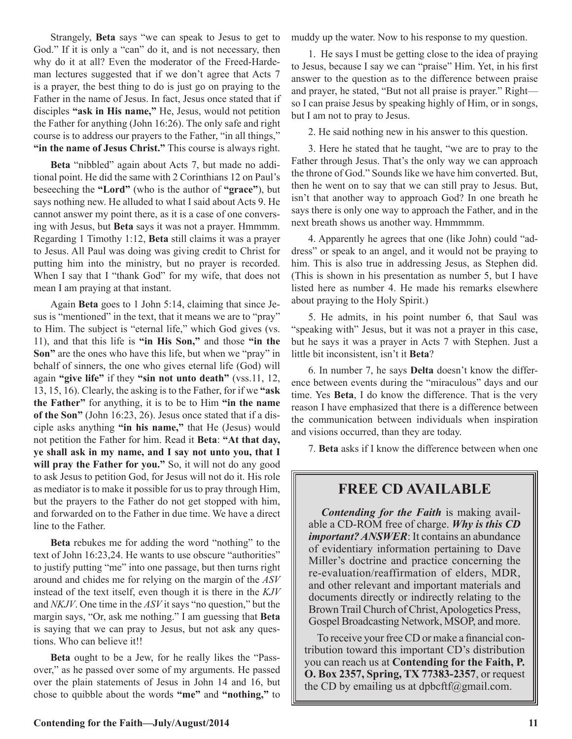Strangely, **Beta** says "we can speak to Jesus to get to God." If it is only a "can" do it, and is not necessary, then why do it at all? Even the moderator of the Freed-Hardeman lectures suggested that if we don't agree that Acts 7 is a prayer, the best thing to do is just go on praying to the Father in the name of Jesus. In fact, Jesus once stated that if disciples **"ask in His name,"** He, Jesus, would not petition the Father for anything (John 16:26). The only safe and right course is to address our prayers to the Father, "in all things," **"in the name of Jesus Christ."** This course is always right.

**Beta** "nibbled" again about Acts 7, but made no additional point. He did the same with 2 Corinthians 12 on Paul's beseeching the **"Lord"** (who is the author of **"grace"**), but says nothing new. He alluded to what I said about Acts 9. He cannot answer my point there, as it is a case of one conversing with Jesus, but **Beta** says it was not a prayer. Hmmmm. Regarding 1 Timothy 1:12, **Beta** still claims it was a prayer to Jesus. All Paul was doing was giving credit to Christ for putting him into the ministry, but no prayer is recorded. When I say that I "thank God" for my wife, that does not mean I am praying at that instant.

Again **Beta** goes to 1 John 5:14, claiming that since Jesus is "mentioned" in the text, that it means we are to "pray" to Him. The subject is "eternal life," which God gives (vs. 11), and that this life is **"in His Son,"** and those **"in the Son"** are the ones who have this life, but when we "pray" in behalf of sinners, the one who gives eternal life (God) will again **"give life"** if they **"sin not unto death"** (vss.11, 12, 13, 15, 16). Clearly, the asking is to the Father, for if we **"ask the Father"** for anything, it is to be to Him **"in the name of the Son"** (John 16:23, 26). Jesus once stated that if a disciple asks anything **"in his name,"** that He (Jesus) would not petition the Father for him. Read it **Beta**: **"At that day, ye shall ask in my name, and I say not unto you, that I**  will pray the Father for you." So, it will not do any good to ask Jesus to petition God, for Jesus will not do it. His role as mediator is to make it possible for us to pray through Him, but the prayers to the Father do not get stopped with him, and forwarded on to the Father in due time. We have a direct line to the Father.

**Beta** rebukes me for adding the word "nothing" to the text of John 16:23,24. He wants to use obscure "authorities" to justify putting "me" into one passage, but then turns right around and chides me for relying on the margin of the *ASV* instead of the text itself, even though it is there in the *KJV*  and *NKJV*. One time in the *ASV* it says "no question," but the margin says, "Or, ask me nothing." I am guessing that **Beta**  is saying that we can pray to Jesus, but not ask any questions. Who can believe it!!

**Beta** ought to be a Jew, for he really likes the "Passover," as he passed over some of my arguments. He passed over the plain statements of Jesus in John 14 and 16, but chose to quibble about the words **"me"** and **"nothing,"** to muddy up the water. Now to his response to my question.

1. He says I must be getting close to the idea of praying to Jesus, because I say we can "praise" Him. Yet, in his first answer to the question as to the difference between praise and prayer, he stated, "But not all praise is prayer." Right so I can praise Jesus by speaking highly of Him, or in songs, but I am not to pray to Jesus.

2. He said nothing new in his answer to this question.

3. Here he stated that he taught, "we are to pray to the Father through Jesus. That's the only way we can approach the throne of God." Sounds like we have him converted. But, then he went on to say that we can still pray to Jesus. But, isn't that another way to approach God? In one breath he says there is only one way to approach the Father, and in the next breath shows us another way. Hmmmmm.

4. Apparently he agrees that one (like John) could "address" or speak to an angel, and it would not be praying to him. This is also true in addressing Jesus, as Stephen did. (This is shown in his presentation as number 5, but I have listed here as number 4. He made his remarks elsewhere about praying to the Holy Spirit.)

5. He admits, in his point number 6, that Saul was "speaking with" Jesus, but it was not a prayer in this case, but he says it was a prayer in Acts 7 with Stephen. Just a little bit inconsistent, isn't it **Beta**?

6. In number 7, he says **Delta** doesn't know the difference between events during the "miraculous" days and our time. Yes **Beta**, I do know the difference. That is the very reason I have emphasized that there is a difference between the communication between individuals when inspiration and visions occurred, than they are today.

7. **Beta** asks if I know the difference between when one

# **FREE CD AVAILABLE**

*Contending for the Faith* is making available a CD-ROM free of charge. *Why is this CD important? ANSWER*: It contains an abundance of evidentiary information pertaining to Dave Miller's doctrine and practice concerning the re-evaluation/reaffirmation of elders, MDR, and other relevant and important materials and documents directly or indirectly relating to the Brown Trail Church of Christ, Apologetics Press, Gospel Broadcasting Network, MSOP, and more.

To receive your free CD or make a financial contribution toward this important CD's distribution you can reach us at **Contending for the Faith, P. O. Box 2357, Spring, TX 77383-2357**, or request the CD by emailing us at dpbcftf $(a)$ gmail.com.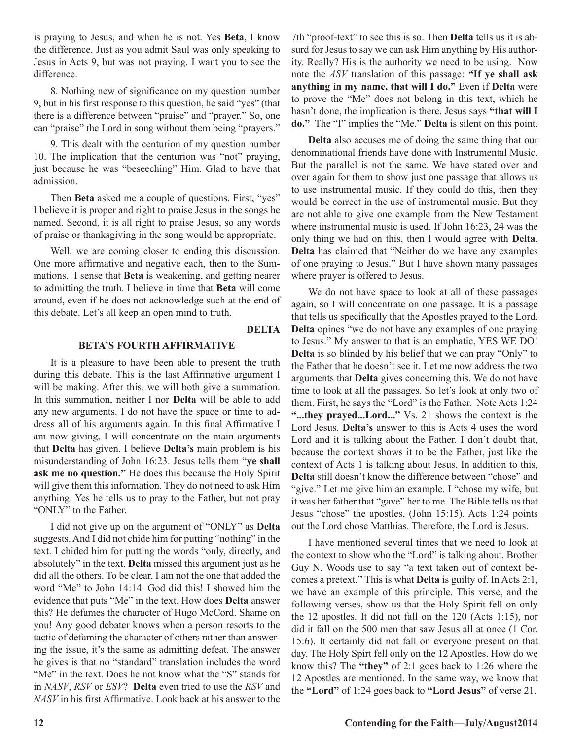is praying to Jesus, and when he is not. Yes **Beta**, I know the difference. Just as you admit Saul was only speaking to Jesus in Acts 9, but was not praying. I want you to see the difference.

8. Nothing new of significance on my question number 9, but in his first response to this question, he said "yes" (that there is a difference between "praise" and "prayer." So, one can "praise" the Lord in song without them being "prayers."

9. This dealt with the centurion of my question number 10. The implication that the centurion was "not" praying, just because he was "beseeching" Him. Glad to have that admission.

Then **Beta** asked me a couple of questions. First, "yes" I believe it is proper and right to praise Jesus in the songs he named. Second, it is all right to praise Jesus, so any words of praise or thanksgiving in the song would be appropriate.

Well, we are coming closer to ending this discussion. One more affirmative and negative each, then to the Summations. I sense that **Beta** is weakening, and getting nearer to admitting the truth. I believe in time that **Beta** will come around, even if he does not acknowledge such at the end of this debate. Let's all keep an open mind to truth.

**DELTA**

#### **BETA'S FOURTH AFFIRMATIVE**

It is a pleasure to have been able to present the truth during this debate. This is the last Affirmative argument I will be making. After this, we will both give a summation. In this summation, neither I nor **Delta** will be able to add any new arguments. I do not have the space or time to address all of his arguments again. In this final Affirmative I am now giving, I will concentrate on the main arguments that **Delta** has given. I believe **Delta's** main problem is his misunderstanding of John 16:23. Jesus tells them "**ye shall ask me no question."** He does this because the Holy Spirit will give them this information. They do not need to ask Him anything. Yes he tells us to pray to the Father, but not pray "ONLY" to the Father.

I did not give up on the argument of "ONLY" as **Delta**  suggests. And I did not chide him for putting "nothing" in the text. I chided him for putting the words "only, directly, and absolutely" in the text. **Delta** missed this argument just as he did all the others. To be clear, I am not the one that added the word "Me" to John 14:14. God did this! I showed him the evidence that puts "Me" in the text. How does **Delta** answer this? He defames the character of Hugo McCord. Shame on you! Any good debater knows when a person resorts to the tactic of defaming the character of others rather than answering the issue, it's the same as admitting defeat. The answer he gives is that no "standard" translation includes the word "Me" in the text. Does he not know what the "S" stands for in *NASV*, *RSV* or *ESV*? **Delta** even tried to use the *RSV* and *NASV* in his first Affirmative. Look back at his answer to the

7th "proof-text" to see this is so. Then **Delta** tells us it is absurd for Jesus to say we can ask Him anything by His authority. Really? His is the authority we need to be using. Now note the *ASV* translation of this passage: **"If ye shall ask anything in my name, that will I do."** Even if **Delta** were to prove the "Me" does not belong in this text, which he hasn't done, the implication is there. Jesus says **"that will I do."** The "I" implies the "Me." **Delta** is silent on this point.

**Delta** also accuses me of doing the same thing that our denominational friends have done with Instrumental Music. But the parallel is not the same. We have stated over and over again for them to show just one passage that allows us to use instrumental music. If they could do this, then they would be correct in the use of instrumental music. But they are not able to give one example from the New Testament where instrumental music is used. If John 16:23, 24 was the only thing we had on this, then I would agree with **Delta**. **Delta** has claimed that "Neither do we have any examples of one praying to Jesus." But I have shown many passages where prayer is offered to Jesus.

We do not have space to look at all of these passages again, so I will concentrate on one passage. It is a passage that tells us specifically that the Apostles prayed to the Lord. **Delta** opines "we do not have any examples of one praying to Jesus." My answer to that is an emphatic, YES WE DO! **Delta** is so blinded by his belief that we can pray "Only" to the Father that he doesn't see it. Let me now address the two arguments that **Delta** gives concerning this. We do not have time to look at all the passages. So let's look at only two of them. First, he says the "Lord" is the Father. Note Acts 1:24 **"...they prayed...Lord..."** Vs. 21 shows the context is the Lord Jesus. **Delta's** answer to this is Acts 4 uses the word Lord and it is talking about the Father. I don't doubt that, because the context shows it to be the Father, just like the context of Acts 1 is talking about Jesus. In addition to this, **Delta** still doesn't know the difference between "chose" and "give." Let me give him an example. I "chose my wife, but it was her father that "gave" her to me. The Bible tells us that Jesus "chose" the apostles, (John 15:15). Acts 1:24 points out the Lord chose Matthias. Therefore, the Lord is Jesus.

I have mentioned several times that we need to look at the context to show who the "Lord" is talking about. Brother Guy N. Woods use to say "a text taken out of context becomes a pretext." This is what **Delta** is guilty of. In Acts 2:1, we have an example of this principle. This verse, and the following verses, show us that the Holy Spirit fell on only the 12 apostles. It did not fall on the 120 (Acts 1:15), nor did it fall on the 500 men that saw Jesus all at once (1 Cor. 15:6). It certainly did not fall on everyone present on that day. The Holy Spirt fell only on the 12 Apostles. How do we know this? The **"they"** of 2:1 goes back to 1:26 where the 12 Apostles are mentioned. In the same way, we know that the **"Lord"** of 1:24 goes back to **"Lord Jesus"** of verse 21.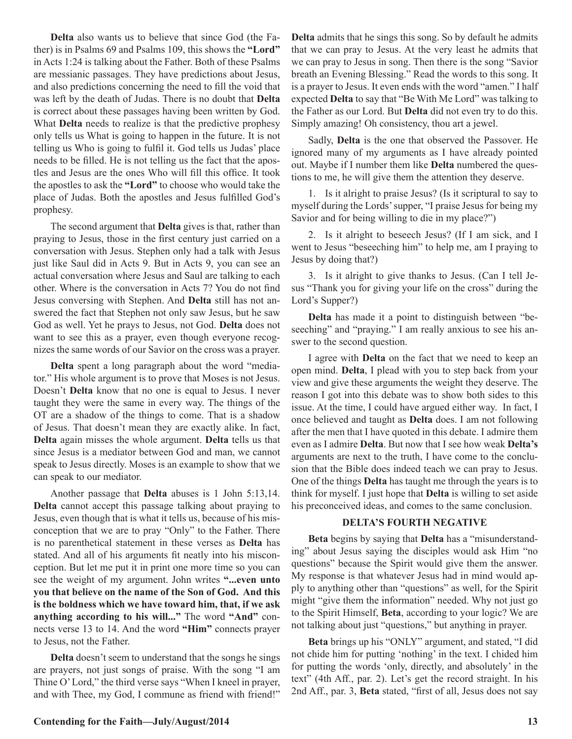**Delta** also wants us to believe that since God (the Father) is in Psalms 69 and Psalms 109, this shows the **"Lord"** in Acts 1:24 is talking about the Father. Both of these Psalms are messianic passages. They have predictions about Jesus, and also predictions concerning the need to fill the void that was left by the death of Judas. There is no doubt that **Delta**  is correct about these passages having been written by God. What **Delta** needs to realize is that the predictive prophesy only tells us What is going to happen in the future. It is not telling us Who is going to fulfil it. God tells us Judas' place needs to be filled. He is not telling us the fact that the apostles and Jesus are the ones Who will fill this office. It took the apostles to ask the **"Lord"** to choose who would take the place of Judas. Both the apostles and Jesus fulfilled God's prophesy.

The second argument that **Delta** gives is that, rather than praying to Jesus, those in the first century just carried on a conversation with Jesus. Stephen only had a talk with Jesus just like Saul did in Acts 9. But in Acts 9, you can see an actual conversation where Jesus and Saul are talking to each other. Where is the conversation in Acts 7? You do not find Jesus conversing with Stephen. And **Delta** still has not answered the fact that Stephen not only saw Jesus, but he saw God as well. Yet he prays to Jesus, not God. **Delta** does not want to see this as a prayer, even though everyone recognizes the same words of our Savior on the cross was a prayer.

**Delta** spent a long paragraph about the word "mediator." His whole argument is to prove that Moses is not Jesus. Doesn't **Delta** know that no one is equal to Jesus. I never taught they were the same in every way. The things of the OT are a shadow of the things to come. That is a shadow of Jesus. That doesn't mean they are exactly alike. In fact, **Delta** again misses the whole argument. **Delta** tells us that since Jesus is a mediator between God and man, we cannot speak to Jesus directly. Moses is an example to show that we can speak to our mediator.

Another passage that **Delta** abuses is 1 John 5:13,14. **Delta** cannot accept this passage talking about praying to Jesus, even though that is what it tells us, because of his misconception that we are to pray "Only" to the Father. There is no parenthetical statement in these verses as **Delta** has stated. And all of his arguments fit neatly into his misconception. But let me put it in print one more time so you can see the weight of my argument. John writes **"...even unto you that believe on the name of the Son of God. And this is the boldness which we have toward him, that, if we ask anything according to his will..."** The word **"And"** connects verse 13 to 14. And the word **"Him"** connects prayer to Jesus, not the Father.

**Delta** doesn't seem to understand that the songs he sings are prayers, not just songs of praise. With the song "I am Thine O' Lord," the third verse says "When I kneel in prayer, and with Thee, my God, I commune as friend with friend!"

**Delta** admits that he sings this song. So by default he admits that we can pray to Jesus. At the very least he admits that we can pray to Jesus in song. Then there is the song "Savior breath an Evening Blessing." Read the words to this song. It is a prayer to Jesus. It even ends with the word "amen." I half expected **Delta** to say that "Be With Me Lord" was talking to the Father as our Lord. But **Delta** did not even try to do this. Simply amazing! Oh consistency, thou art a jewel.

Sadly, **Delta** is the one that observed the Passover. He ignored many of my arguments as I have already pointed out. Maybe if I number them like **Delta** numbered the questions to me, he will give them the attention they deserve.

1. Is it alright to praise Jesus? (Is it scriptural to say to myself during the Lords' supper, "I praise Jesus for being my Savior and for being willing to die in my place?")

2. Is it alright to beseech Jesus? (If I am sick, and I went to Jesus "beseeching him" to help me, am I praying to Jesus by doing that?)

3. Is it alright to give thanks to Jesus. (Can I tell Jesus "Thank you for giving your life on the cross" during the Lord's Supper?)

**Delta** has made it a point to distinguish between "beseeching" and "praying." I am really anxious to see his answer to the second question.

I agree with **Delta** on the fact that we need to keep an open mind. **Delta**, I plead with you to step back from your view and give these arguments the weight they deserve. The reason I got into this debate was to show both sides to this issue. At the time, I could have argued either way. In fact, I once believed and taught as **Delta** does. I am not following after the men that I have quoted in this debate. I admire them even as I admire **Delta**. But now that I see how weak **Delta's**  arguments are next to the truth, I have come to the conclusion that the Bible does indeed teach we can pray to Jesus. One of the things **Delta** has taught me through the years is to think for myself. I just hope that **Delta** is willing to set aside his preconceived ideas, and comes to the same conclusion.

#### **DELTA'S FOURTH NEGATIVE**

**Beta** begins by saying that **Delta** has a "misunderstanding" about Jesus saying the disciples would ask Him "no questions" because the Spirit would give them the answer. My response is that whatever Jesus had in mind would apply to anything other than "questions" as well, for the Spirit might "give them the information" needed. Why not just go to the Spirit Himself, **Beta**, according to your logic? We are not talking about just "questions," but anything in prayer.

**Beta** brings up his "ONLY" argument, and stated, "I did not chide him for putting 'nothing' in the text. I chided him for putting the words 'only, directly, and absolutely' in the text" (4th Aff., par. 2). Let's get the record straight. In his 2nd Aff., par. 3, **Beta** stated, "first of all, Jesus does not say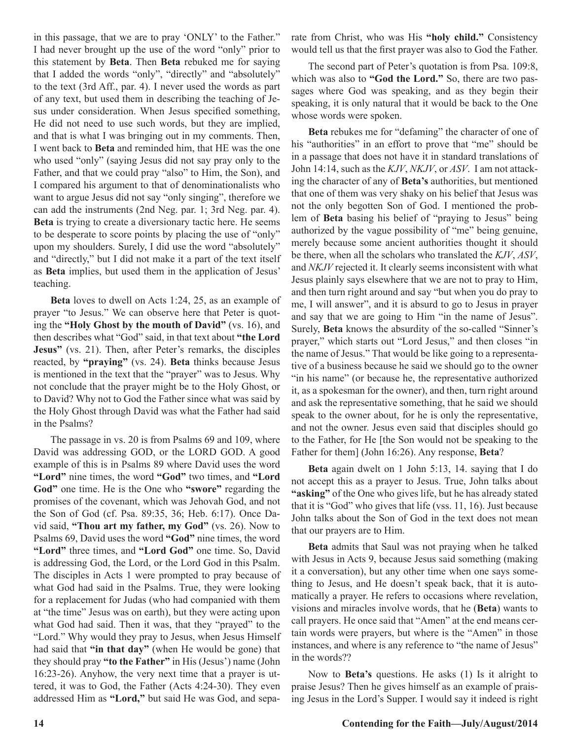in this passage, that we are to pray 'ONLY' to the Father." I had never brought up the use of the word "only" prior to this statement by **Beta**. Then **Beta** rebuked me for saying that I added the words "only", "directly" and "absolutely" to the text (3rd Aff., par. 4). I never used the words as part of any text, but used them in describing the teaching of Jesus under consideration. When Jesus specified something, He did not need to use such words, but they are implied, and that is what I was bringing out in my comments. Then, I went back to **Beta** and reminded him, that HE was the one who used "only" (saying Jesus did not say pray only to the Father, and that we could pray "also" to Him, the Son), and I compared his argument to that of denominationalists who want to argue Jesus did not say "only singing", therefore we can add the instruments (2nd Neg. par. 1; 3rd Neg. par. 4). **Beta** is trying to create a diversionary tactic here. He seems to be desperate to score points by placing the use of "only" upon my shoulders. Surely, I did use the word "absolutely" and "directly," but I did not make it a part of the text itself as **Beta** implies, but used them in the application of Jesus' teaching.

**Beta** loves to dwell on Acts 1:24, 25, as an example of prayer "to Jesus." We can observe here that Peter is quoting the **"Holy Ghost by the mouth of David"** (vs. 16), and then describes what "God" said, in that text about **"the Lord Jesus"** (vs. 21). Then, after Peter's remarks, the disciples reacted, by **"praying"** (vs. 24). **Beta** thinks because Jesus is mentioned in the text that the "prayer" was to Jesus. Why not conclude that the prayer might be to the Holy Ghost, or to David? Why not to God the Father since what was said by the Holy Ghost through David was what the Father had said in the Psalms?

The passage in vs. 20 is from Psalms 69 and 109, where David was addressing GOD, or the LORD GOD. A good example of this is in Psalms 89 where David uses the word **"Lord"** nine times, the word **"God"** two times, and **"Lord God"** one time. He is the One who **"swore"** regarding the promises of the covenant, which was Jehovah God, and not the Son of God (cf. Psa. 89:35, 36; Heb. 6:17). Once David said, **"Thou art my father, my God"** (vs. 26). Now to Psalms 69, David uses the word **"God"** nine times, the word **"Lord"** three times, and **"Lord God"** one time. So, David is addressing God, the Lord, or the Lord God in this Psalm. The disciples in Acts 1 were prompted to pray because of what God had said in the Psalms. True, they were looking for a replacement for Judas (who had companied with them at "the time" Jesus was on earth), but they were acting upon what God had said. Then it was, that they "prayed" to the "Lord." Why would they pray to Jesus, when Jesus Himself had said that **"in that day"** (when He would be gone) that they should pray **"to the Father"** in His (Jesus') name (John 16:23-26). Anyhow, the very next time that a prayer is uttered, it was to God, the Father (Acts 4:24-30). They even addressed Him as **"Lord,"** but said He was God, and separate from Christ, who was His **"holy child."** Consistency would tell us that the first prayer was also to God the Father.

The second part of Peter's quotation is from Psa. 109:8, which was also to **"God the Lord."** So, there are two passages where God was speaking, and as they begin their speaking, it is only natural that it would be back to the One whose words were spoken.

**Beta** rebukes me for "defaming" the character of one of his "authorities" in an effort to prove that "me" should be in a passage that does not have it in standard translations of John 14:14, such as the *KJV*, *NKJV*, or *ASV*. I am not attacking the character of any of **Beta's** authorities, but mentioned that one of them was very shaky on his belief that Jesus was not the only begotten Son of God. I mentioned the problem of **Beta** basing his belief of "praying to Jesus" being authorized by the vague possibility of "me" being genuine, merely because some ancient authorities thought it should be there, when all the scholars who translated the *KJV*, *ASV*, and *NKJV* rejected it. It clearly seems inconsistent with what Jesus plainly says elsewhere that we are not to pray to Him, and then turn right around and say "but when you do pray to me, I will answer", and it is absurd to go to Jesus in prayer and say that we are going to Him "in the name of Jesus". Surely, **Beta** knows the absurdity of the so-called "Sinner's prayer," which starts out "Lord Jesus," and then closes "in the name of Jesus." That would be like going to a representative of a business because he said we should go to the owner "in his name" (or because he, the representative authorized it, as a spokesman for the owner), and then, turn right around and ask the representative something, that he said we should speak to the owner about, for he is only the representative, and not the owner. Jesus even said that disciples should go to the Father, for He [the Son would not be speaking to the Father for them] (John 16:26). Any response, **Beta**?

**Beta** again dwelt on 1 John 5:13, 14. saying that I do not accept this as a prayer to Jesus. True, John talks about **"asking"** of the One who gives life, but he has already stated that it is "God" who gives that life (vss. 11, 16). Just because John talks about the Son of God in the text does not mean that our prayers are to Him.

**Beta** admits that Saul was not praying when he talked with Jesus in Acts 9, because Jesus said something (making it a conversation), but any other time when one says something to Jesus, and He doesn't speak back, that it is automatically a prayer. He refers to occasions where revelation, visions and miracles involve words, that he (**Beta**) wants to call prayers. He once said that "Amen" at the end means certain words were prayers, but where is the "Amen" in those instances, and where is any reference to "the name of Jesus" in the words??

Now to **Beta's** questions. He asks (1) Is it alright to praise Jesus? Then he gives himself as an example of praising Jesus in the Lord's Supper. I would say it indeed is right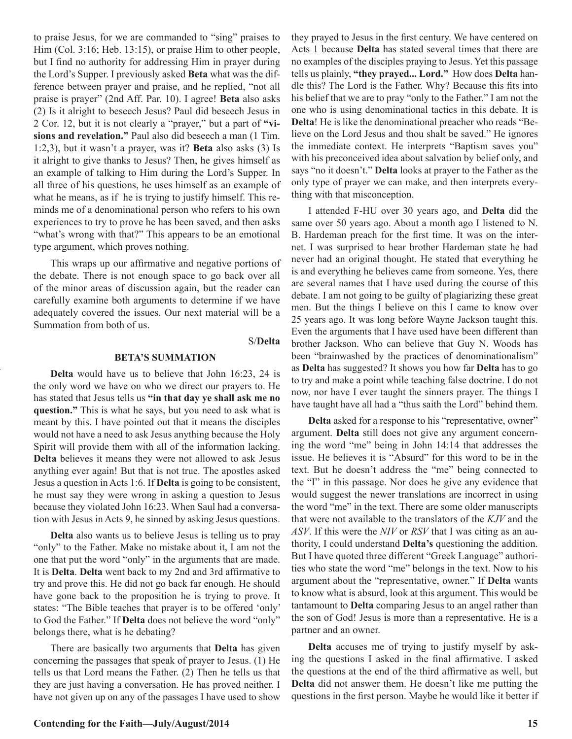to praise Jesus, for we are commanded to "sing" praises to Him (Col. 3:16; Heb. 13:15), or praise Him to other people, but I find no authority for addressing Him in prayer during the Lord's Supper. I previously asked **Beta** what was the difference between prayer and praise, and he replied, "not all praise is prayer" (2nd Aff. Par. 10). I agree! **Beta** also asks (2) Is it alright to beseech Jesus? Paul did beseech Jesus in 2 Cor. 12, but it is not clearly a "prayer," but a part of **"visions and revelation."** Paul also did beseech a man (1 Tim. 1:2,3), but it wasn't a prayer, was it? **Beta** also asks (3) Is it alright to give thanks to Jesus? Then, he gives himself as an example of talking to Him during the Lord's Supper. In all three of his questions, he uses himself as an example of what he means, as if he is trying to justify himself. This reminds me of a denominational person who refers to his own experiences to try to prove he has been saved, and then asks "what's wrong with that?" This appears to be an emotional type argument, which proves nothing.

This wraps up our affirmative and negative portions of the debate. There is not enough space to go back over all of the minor areas of discussion again, but the reader can carefully examine both arguments to determine if we have adequately covered the issues. Our next material will be a Summation from both of us.

#### S/**Delta**

#### **BETA'S SUMMATION**

**Delta** would have us to believe that John 16:23, 24 is the only word we have on who we direct our prayers to. He has stated that Jesus tells us **"in that day ye shall ask me no question."** This is what he says, but you need to ask what is meant by this. I have pointed out that it means the disciples would not have a need to ask Jesus anything because the Holy Spirit will provide them with all of the information lacking. **Delta** believes it means they were not allowed to ask Jesus anything ever again! But that is not true. The apostles asked Jesus a question in Acts 1:6. If **Delta** is going to be consistent, he must say they were wrong in asking a question to Jesus because they violated John 16:23. When Saul had a conversation with Jesus in Acts 9, he sinned by asking Jesus questions.

**Delta** also wants us to believe Jesus is telling us to pray "only" to the Father. Make no mistake about it, I am not the one that put the word "only" in the arguments that are made. It is **Delta**. **Delta** went back to my 2nd and 3rd affirmative to try and prove this. He did not go back far enough. He should have gone back to the proposition he is trying to prove. It states: "The Bible teaches that prayer is to be offered 'only' to God the Father." If **Delta** does not believe the word "only" belongs there, what is he debating?

There are basically two arguments that **Delta** has given concerning the passages that speak of prayer to Jesus. (1) He tells us that Lord means the Father. (2) Then he tells us that they are just having a conversation. He has proved neither. I have not given up on any of the passages I have used to show

they prayed to Jesus in the first century. We have centered on Acts 1 because **Delta** has stated several times that there are no examples of the disciples praying to Jesus. Yet this passage tells us plainly, **"they prayed... Lord."** How does **Delta** handle this? The Lord is the Father. Why? Because this fits into his belief that we are to pray "only to the Father." I am not the one who is using denominational tactics in this debate. It is **Delta**! He is like the denominational preacher who reads "Believe on the Lord Jesus and thou shalt be saved." He ignores the immediate context. He interprets "Baptism saves you" with his preconceived idea about salvation by belief only, and says "no it doesn't." **Delta** looks at prayer to the Father as the only type of prayer we can make, and then interprets everything with that misconception.

I attended F-HU over 30 years ago, and **Delta** did the same over 50 years ago. About a month ago I listened to N. B. Hardeman preach for the first time. It was on the internet. I was surprised to hear brother Hardeman state he had never had an original thought. He stated that everything he is and everything he believes came from someone. Yes, there are several names that I have used during the course of this debate. I am not going to be guilty of plagiarizing these great men. But the things I believe on this I came to know over 25 years ago. It was long before Wayne Jackson taught this. Even the arguments that I have used have been different than brother Jackson. Who can believe that Guy N. Woods has been "brainwashed by the practices of denominationalism" as **Delta** has suggested? It shows you how far **Delta** has to go to try and make a point while teaching false doctrine. I do not now, nor have I ever taught the sinners prayer. The things I have taught have all had a "thus saith the Lord" behind them.

**Delta** asked for a response to his "representative, owner" argument. **Delta** still does not give any argument concerning the word "me" being in John 14:14 that addresses the issue. He believes it is "Absurd" for this word to be in the text. But he doesn't address the "me" being connected to the "I" in this passage. Nor does he give any evidence that would suggest the newer translations are incorrect in using the word "me" in the text. There are some older manuscripts that were not available to the translators of the *KJV* and the *ASV*. If this were the *NIV* or *RSV* that I was citing as an authority, I could understand **Delta's** questioning the addition. But I have quoted three different "Greek Language" authorities who state the word "me" belongs in the text. Now to his argument about the "representative, owner." If **Delta** wants to know what is absurd, look at this argument. This would be tantamount to **Delta** comparing Jesus to an angel rather than the son of God! Jesus is more than a representative. He is a partner and an owner.

**Delta** accuses me of trying to justify myself by asking the questions I asked in the final affirmative. I asked the questions at the end of the third affirmative as well, but **Delta** did not answer them. He doesn't like me putting the questions in the first person. Maybe he would like it better if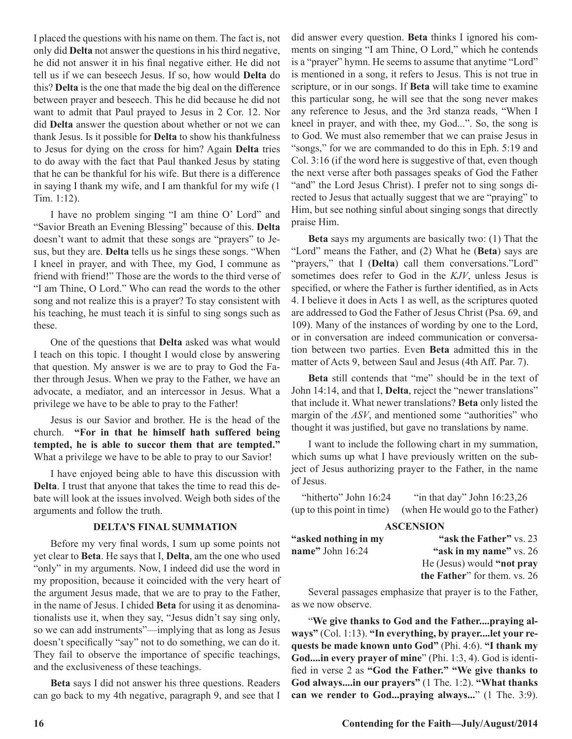I placed the questions with his name on them. The fact is, not only did **Delta** not answer the questions in his third negative, he did not answer it in his final negative either. He did not tell us if we can beseech Jesus. If so, how would **Delta** do this? **Delta** is the one that made the big deal on the difference between prayer and beseech. This he did because he did not want to admit that Paul prayed to Jesus in 2 Cor. 12. Nor did **Delta** answer the question about whether or not we can thank Jesus. Is it possible for **Delta** to show his thankfulness to Jesus for dying on the cross for him? Again **Delta** tries to do away with the fact that Paul thanked Jesus by stating that he can be thankful for his wife. But there is a difference in saying I thank my wife, and I am thankful for my wife (1 Tim. 1:12).

I have no problem singing "I am thine O' Lord" and "Savior Breath an Evening Blessing" because of this. **Delta**  doesn't want to admit that these songs are "prayers" to Jesus, but they are. **Delta** tells us he sings these songs. "When I kneel in prayer, and with Thee, my God, I commune as friend with friend!" Those are the words to the third verse of "I am Thine, O Lord." Who can read the words to the other song and not realize this is a prayer? To stay consistent with his teaching, he must teach it is sinful to sing songs such as these.

One of the questions that **Delta** asked was what would I teach on this topic. I thought I would close by answering that question. My answer is we are to pray to God the Father through Jesus. When we pray to the Father, we have an advocate, a mediator, and an intercessor in Jesus. What a privilege we have to be able to pray to the Father!

Jesus is our Savior and brother. He is the head of the church. **"For in that he himself hath suffered being tempted, he is able to succor them that are tempted."**  What a privilege we have to be able to pray to our Savior!

I have enjoyed being able to have this discussion with **Delta**. I trust that anyone that takes the time to read this debate will look at the issues involved. Weigh both sides of the arguments and follow the truth.

#### **DELTA'S FINAL SUMMATION**

Before my very final words, I sum up some points not yet clear to **Beta**. He says that I, **Delta**, am the one who used "only" in my arguments. Now, I indeed did use the word in my proposition, because it coincided with the very heart of the argument Jesus made, that we are to pray to the Father, in the name of Jesus. I chided **Beta** for using it as denominationalists use it, when they say, "Jesus didn't say sing only, so we can add instruments"—implying that as long as Jesus doesn't specifically "say" not to do something, we can do it. They fail to observe the importance of specific teachings, and the exclusiveness of these teachings.

**Beta** says I did not answer his three questions. Readers can go back to my 4th negative, paragraph 9, and see that I did answer every question. **Beta** thinks I ignored his comments on singing "I am Thine, O Lord," which he contends is a "prayer" hymn. He seems to assume that anytime "Lord" is mentioned in a song, it refers to Jesus. This is not true in scripture, or in our songs. If **Beta** will take time to examine this particular song, he will see that the song never makes any reference to Jesus, and the 3rd stanza reads, "When I kneel in prayer, and with thee, my God...". So, the song is to God. We must also remember that we can praise Jesus in "songs," for we are commanded to do this in Eph. 5:19 and Col. 3:16 (if the word here is suggestive of that, even though the next verse after both passages speaks of God the Father "and" the Lord Jesus Christ). I prefer not to sing songs directed to Jesus that actually suggest that we are "praying" to Him, but see nothing sinful about singing songs that directly praise Him.

**Beta** says my arguments are basically two: (1) That the "Lord" means the Father, and (2) What he (**Beta**) says are "prayers," that I (**Delta**) call them conversations."Lord" sometimes does refer to God in the *KJV*, unless Jesus is specified, or where the Father is further identified, as in Acts 4. I believe it does in Acts 1 as well, as the scriptures quoted are addressed to God the Father of Jesus Christ (Psa. 69, and 109). Many of the instances of wording by one to the Lord, or in conversation are indeed communication or conversation between two parties. Even **Beta** admitted this in the matter of Acts 9, between Saul and Jesus (4th Aff. Par. 7).

**Beta** still contends that "me" should be in the text of John 14:14, and that I, **Delta**, reject the "newer translations" that include it. What newer translations? **Beta** only listed the margin of the *ASV*, and mentioned some "authorities" who thought it was justified, but gave no translations by name.

I want to include the following chart in my summation, which sums up what I have previously written on the subject of Jesus authorizing prayer to the Father, in the name of Jesus.

| "hitherto" John 16:24      | "in that day" John $16:23,26$    |
|----------------------------|----------------------------------|
| (up to this point in time) | (when He would go to the Father) |

#### **ASCENSION**

| "asked nothing in my | "ask the Father" vs. 23      |
|----------------------|------------------------------|
| name" John $16:24$   | "ask in my name" vs. 26      |
|                      | He (Jesus) would "not pray   |
|                      | the Father" for them. vs. 26 |

Several passages emphasize that prayer is to the Father, as we now observe.

"**We give thanks to God and the Father....praying always"** (Col. 1:13). **"In everything, by prayer....let your requests be made known unto God"** (Phi. 4:6). **"I thank my God....in every prayer of mine**" (Phi. 1:3, 4). God is identified in verse 2 as **"God the Father." "We give thanks to God always....in our prayers"** (1 The. 1:2). **"What thanks can we render to God...praying always...**" (1 The. 3:9).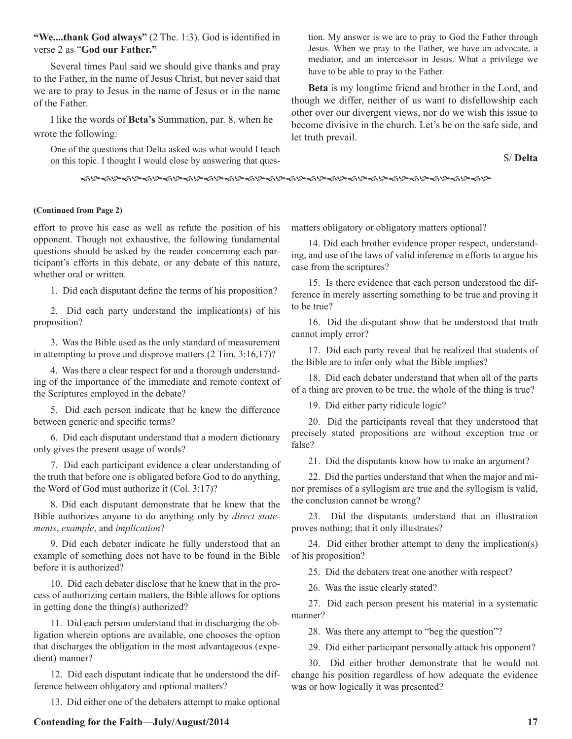**"We....thank God always"** (2 The. 1:3). God is identified in verse 2 as "**God our Father."**

Several times Paul said we should give thanks and pray to the Father, in the name of Jesus Christ, but never said that we are to pray to Jesus in the name of Jesus or in the name of the Father.

I like the words of **Beta's** Summation, par. 8, when he wrote the following:

One of the questions that Delta asked was what would I teach on this topic. I thought I would close by answering that question. My answer is we are to pray to God the Father through Jesus. When we pray to the Father, we have an advocate, a mediator, and an intercessor in Jesus. What a privilege we have to be able to pray to the Father.

**Beta** is my longtime friend and brother in the Lord, and though we differ, neither of us want to disfellowship each other over our divergent views, nor do we wish this issue to become divisive in the church. Let's be on the safe side, and let truth prevail.

S/ **Delta**

fhfhfhfhfhfhfhfhfhfhfhfhfhfhfhfhfhfhfhfh

## **(Continued from Page 2)**

effort to prove his case as well as refute the position of his opponent. Though not exhaustive, the following fundamental questions should be asked by the reader concerning each participant's efforts in this debate, or any debate of this nature, whether oral or written.

1. Did each disputant define the terms of his proposition?

2. Did each party understand the implication(s) of his proposition?

3. Was the Bible used as the only standard of measurement in attempting to prove and disprove matters (2 Tim. 3:16,17)?

4. Was there a clear respect for and a thorough understanding of the importance of the immediate and remote context of the Scriptures employed in the debate?

5. Did each person indicate that he knew the difference between generic and specific terms?

6. Did each disputant understand that a modern dictionary only gives the present usage of words?

7. Did each participant evidence a clear understanding of the truth that before one is obligated before God to do anything, the Word of God must authorize it (Col. 3:17)?

8. Did each disputant demonstrate that he knew that the Bible authorizes anyone to do anything only by *direct statements*, *example*, and *implication*?

9. Did each debater indicate he fully understood that an example of something does not have to be found in the Bible before it is authorized?

10. Did each debater disclose that he knew that in the process of authorizing certain matters, the Bible allows for options in getting done the thing(s) authorized?

11. Did each person understand that in discharging the obligation wherein options are available, one chooses the option that discharges the obligation in the most advantageous (expedient) manner?

12. Did each disputant indicate that he understood the difference between obligatory and optional matters?

13. Did either one of the debaters attempt to make optional

matters obligatory or obligatory matters optional?

14. Did each brother evidence proper respect, understanding, and use of the laws of valid inference in efforts to argue his case from the scriptures?

15. Is there evidence that each person understood the difference in merely asserting something to be true and proving it to be true?

16. Did the disputant show that he understood that truth cannot imply error?

17. Did each party reveal that he realized that students of the Bible are to infer only what the Bible implies?

18. Did each debater understand that when all of the parts of a thing are proven to be true, the whole of the thing is true?

19. Did either party ridicule logic?

20. Did the participants reveal that they understood that precisely stated propositions are without exception true or false?

21. Did the disputants know how to make an argument?

22. Did the parties understand that when the major and minor premises of a syllogism are true and the syllogism is valid, the conclusion cannot be wrong?

23. Did the disputants understand that an illustration proves nothing; that it only illustrates?

24. Did either brother attempt to deny the implication(s) of his proposition?

25. Did the debaters treat one another with respect?

26. Was the issue clearly stated?

27. Did each person present his material in a systematic manner?

28. Was there any attempt to "beg the question"?

29. Did either participant personally attack his opponent?

30. Did either brother demonstrate that he would not change his position regardless of how adequate the evidence was or how logically it was presented?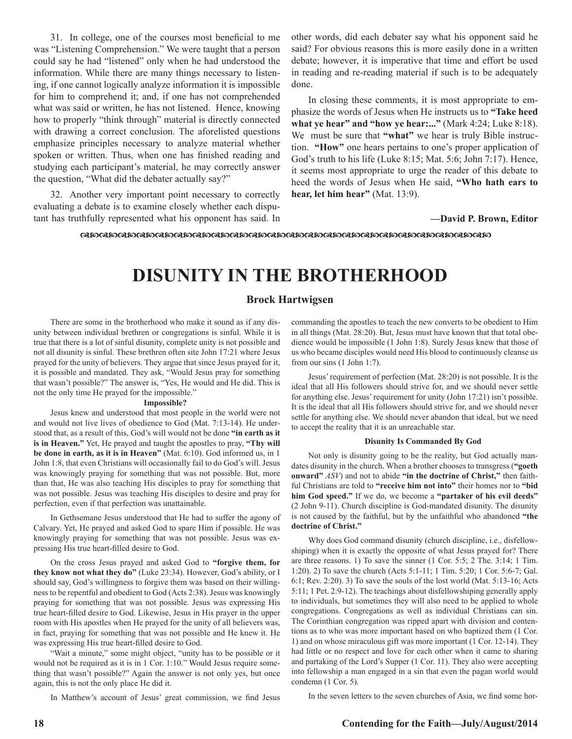31. In college, one of the courses most beneficial to me was "Listening Comprehension." We were taught that a person could say he had "listened" only when he had understood the information. While there are many things necessary to listening, if one cannot logically analyze information it is impossible for him to comprehend it; and, if one has not comprehended what was said or written, he has not listened. Hence, knowing how to properly "think through" material is directly connected with drawing a correct conclusion. The aforelisted questions emphasize principles necessary to analyze material whether spoken or written. Thus, when one has finished reading and studying each participant's material, he may correctly answer the question, "What did the debater actually say?"

32. Another very important point necessary to correctly evaluating a debate is to examine closely whether each disputant has truthfully represented what his opponent has said. In other words, did each debater say what his opponent said he said? For obvious reasons this is more easily done in a written debate; however, it is imperative that time and effort be used in reading and re-reading material if such is to be adequately done.

In closing these comments, it is most appropriate to emphasize the words of Jesus when He instructs us to **"Take heed what ye hear" and "how ye hear:..."** (Mark 4:24; Luke 8:18). We must be sure that **"what"** we hear is truly Bible instruction. **"How"** one hears pertains to one's proper application of God's truth to his life (Luke 8:15; Mat. 5:6; John 7:17). Hence, it seems most appropriate to urge the reader of this debate to heed the words of Jesus when He said, **"Who hath ears to hear, let him hear"** (Mat. 13:9).

**—David P. Brown, Editor**

dcdcdcdcdcdcdcdcdcdcdcdcdcdcdcdcdcdcdcdcdcdc

# **DISUNITY IN THE BROTHERHOOD**

#### **Brock Hartwigsen**

There are some in the brotherhood who make it sound as if any disunity between individual brethren or congregations is sinful. While it is true that there is a lot of sinful disunity, complete unity is not possible and not all disunity is sinful. These brethren often site John 17:21 where Jesus prayed for the unity of believers. They argue that since Jesus prayed for it, it is possible and mandated. They ask, "Would Jesus pray for something that wasn't possible?" The answer is, "Yes, He would and He did. This is not the only time He prayed for the impossible."

#### **Impossible?**

Jesus knew and understood that most people in the world were not and would not live lives of obedience to God (Mat. 7:13-14). He understood that, as a result of this, God's will would not be done **"in earth as it is in Heaven."** Yet, He prayed and taught the apostles to pray, **"Thy will be done in earth, as it is in Heaven"** (Mat. 6:10). God informed us, in 1 John 1:8, that even Christians will occasionally fail to do God's will. Jesus was knowingly praying for something that was not possible. But, more than that, He was also teaching His disciples to pray for something that was not possible. Jesus was teaching His disciples to desire and pray for perfection, even if that perfection was unattainable.

In Gethsemane Jesus understood that He had to suffer the agony of Calvary. Yet, He prayed and asked God to spare Him if possible. He was knowingly praying for something that was not possible. Jesus was expressing His true heart-filled desire to God.

On the cross Jesus prayed and asked God to **"forgive them, for they know not what they do"** (Luke 23:34). However, God's ability, or I should say, God's willingness to forgive them was based on their willingness to be repentful and obedient to God (Acts 2:38). Jesus was knowingly praying for something that was not possible. Jesus was expressing His true heart-filled desire to God. Likewise, Jesus in His prayer in the upper room with His apostles when He prayed for the unity of all believers was, in fact, praying for something that was not possible and He knew it. He was expressing His true heart-filled desire to God.

"Wait a minute," some might object, "unity has to be possible or it would not be required as it is in 1 Cor. 1:10." Would Jesus require something that wasn't possible?" Again the answer is not only yes, but once again, this is not the only place He did it.

In Matthew's account of Jesus' great commission, we find Jesus

commanding the apostles to teach the new converts to be obedient to Him in all things (Mat. 28:20). But, Jesus must have known that that total obedience would be impossible (1 John 1:8). Surely Jesus knew that those of us who became disciples would need His blood to continuously cleanse us from our sins (1 John 1:7).

Jesus' requirement of perfection (Mat. 28:20) is not possible. It is the ideal that all His followers should strive for, and we should never settle for anything else. Jesus' requirement for unity (John 17:21) isn't possible. It is the ideal that all His followers should strive for, and we should never settle for anything else. We should never abandon that ideal, but we need to accept the reality that it is an unreachable star.

#### **Disunity Is Commanded By God**

Not only is disunity going to be the reality, but God actually mandates disunity in the church. When a brother chooses to transgress (**"goeth onward"** *ASV*) and not to abide **"in the doctrine of Christ,"** then faithful Christians are told to **"receive him not into"** their homes nor to **"bid him God speed."** If we do, we become a **"partaker of his evil deeds"** (2 John 9-11). Church discipline is God-mandated disunity. The disunity is not caused by the faithful, but by the unfaithful who abandoned **"the doctrine of Christ."**

Why does God command disunity (church discipline, i.e., disfellowshiping) when it is exactly the opposite of what Jesus prayed for? There are three reasons. 1) To save the sinner (1 Cor. 5:5; 2 The. 3:14; 1 Tim. 1:20). 2) To save the church (Acts 5:1-11; 1 Tim. 5:20; 1 Cor. 5:6-7; Gal. 6:1; Rev. 2:20). 3) To save the souls of the lost world (Mat. 5:13-16; Acts 5:11; 1 Pet. 2:9-12). The teachings about disfellowshiping generally apply to individuals, but sometimes they will also need to be applied to whole congregations. Congregations as well as individual Christians can sin. The Corinthian congregation was ripped apart with division and contentions as to who was more important based on who baptized them (1 Cor. 1) and on whose miraculous gift was more important (1 Cor. 12-14). They had little or no respect and love for each other when it came to sharing and partaking of the Lord's Supper (1 Cor. 11). They also were accepting into fellowship a man engaged in a sin that even the pagan world would condemn (1 Cor. 5).

In the seven letters to the seven churches of Asia, we find some hor-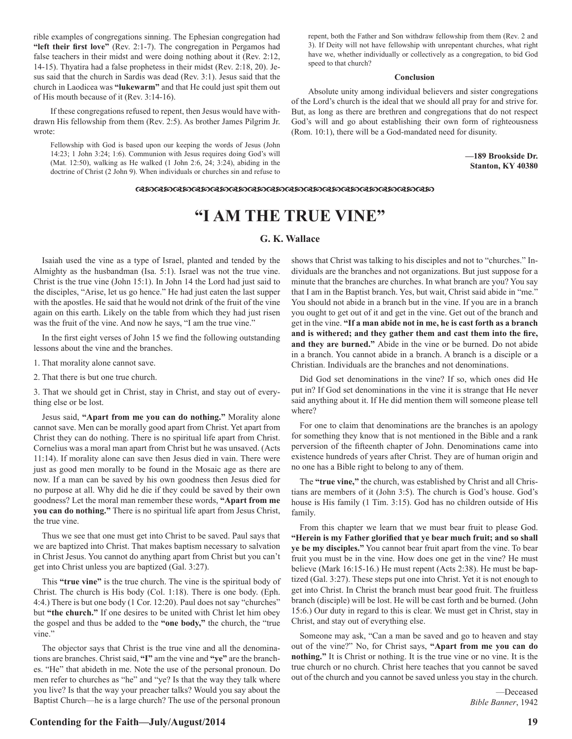rible examples of congregations sinning. The Ephesian congregation had **"left their first love"** (Rev. 2:1-7). The congregation in Pergamos had false teachers in their midst and were doing nothing about it (Rev. 2:12, 14-15). Thyatira had a false prophetess in their midst (Rev. 2:18, 20). Jesus said that the church in Sardis was dead (Rev. 3:1). Jesus said that the church in Laodicea was **"lukewarm"** and that He could just spit them out of His mouth because of it (Rev. 3:14-16).

If these congregations refused to repent, then Jesus would have withdrawn His fellowship from them (Rev. 2:5). As brother James Pilgrim Jr. wrote:

Fellowship with God is based upon our keeping the words of Jesus (John 14:23; 1 John 3:24; 1:6). Communion with Jesus requires doing God's will (Mat. 12:50), walking as He walked (1 John 2:6, 24; 3:24), abiding in the doctrine of Christ (2 John 9). When individuals or churches sin and refuse to repent, both the Father and Son withdraw fellowship from them (Rev. 2 and 3). If Deity will not have fellowship with unrepentant churches, what right have we, whether individually or collectively as a congregation, to bid God speed to that church?

#### **Conclusion**

Absolute unity among individual believers and sister congregations of the Lord's church is the ideal that we should all pray for and strive for. But, as long as there are brethren and congregations that do not respect God's will and go about establishing their own form of righteousness (Rom. 10:1), there will be a God-mandated need for disunity.

> **—189 Brookside Dr. Stanton, KY 40380**

#### $\alpha$ dacalactachcodcalactachcalactachcalactachcalactachcalactachcalactachcalactachcalactachcalactachcalactachcalactachcalactachcalactachcalactachcalactachcalactachcalactachcalactachcalactachcalactachcalactachcalactachcalac

# **"I AM THE TRUE VINE"**

#### **G. K. Wallace**

Isaiah used the vine as a type of Israel, planted and tended by the Almighty as the husbandman (Isa. 5:1). Israel was not the true vine. Christ is the true vine (John 15:1). In John 14 the Lord had just said to the disciples, "Arise, let us go hence." He had just eaten the last supper with the apostles. He said that he would not drink of the fruit of the vine again on this earth. Likely on the table from which they had just risen was the fruit of the vine. And now he says, "I am the true vine."

In the first eight verses of John 15 we find the following outstanding lessons about the vine and the branches.

1. That morality alone cannot save.

2. That there is but one true church.

3. That we should get in Christ, stay in Christ, and stay out of everything else or be lost.

Jesus said, **"Apart from me you can do nothing."** Morality alone cannot save. Men can be morally good apart from Christ. Yet apart from Christ they can do nothing. There is no spiritual life apart from Christ. Cornelius was a moral man apart from Christ but he was unsaved. (Acts 11:14). If morality alone can save then Jesus died in vain. There were just as good men morally to be found in the Mosaic age as there are now. If a man can be saved by his own goodness then Jesus died for no purpose at all. Why did he die if they could be saved by their own goodness? Let the moral man remember these words, **"Apart from me you can do nothing."** There is no spiritual life apart from Jesus Christ, the true vine.

Thus we see that one must get into Christ to be saved. Paul says that we are baptized into Christ. That makes baptism necessary to salvation in Christ Jesus. You cannot do anything apart from Christ but you can't get into Christ unless you are baptized (Gal. 3:27).

This **"true vine"** is the true church. The vine is the spiritual body of Christ. The church is His body (Col. 1:18). There is one body. (Eph. 4:4.) There is but one body (1 Cor. 12:20). Paul does not say "churches" but **"the church."** If one desires to be united with Christ let him obey the gospel and thus be added to the **"one body,"** the church, the "true vine."

The objector says that Christ is the true vine and all the denominations are branches. Christ said, **"I"** am the vine and **"ye"** are the branches. "He" that abideth in me. Note the use of the personal pronoun. Do men refer to churches as "he" and "ye? Is that the way they talk where you live? Is that the way your preacher talks? Would you say about the Baptist Church—he is a large church? The use of the personal pronoun

shows that Christ was talking to his disciples and not to "churches." Individuals are the branches and not organizations. But just suppose for a minute that the branches are churches. In what branch are you? You say that I am in the Baptist branch. Yes, but wait, Christ said abide in "me." You should not abide in a branch but in the vine. If you are in a branch you ought to get out of it and get in the vine. Get out of the branch and get in the vine. **"If a man abide not in me, he is cast forth as a branch and is withered; and they gather them and cast them into the fire, and they are burned."** Abide in the vine or be burned. Do not abide in a branch. You cannot abide in a branch. A branch is a disciple or a Christian. Individuals are the branches and not denominations.

Did God set denominations in the vine? If so, which ones did He put in? If God set denominations in the vine it is strange that He never said anything about it. If He did mention them will someone please tell where?

For one to claim that denominations are the branches is an apology for something they know that is not mentioned in the Bible and a rank perversion of the fifteenth chapter of John. Denominations came into existence hundreds of years after Christ. They are of human origin and no one has a Bible right to belong to any of them.

The **"true vine,"** the church, was established by Christ and all Christians are members of it (John 3:5). The church is God's house. God's house is His family (1 Tim. 3:15). God has no children outside of His family.

From this chapter we learn that we must bear fruit to please God. **"Herein is my Father glorified that ye bear much fruit; and so shall ye be my disciples."** You cannot bear fruit apart from the vine. To bear fruit you must be in the vine. How does one get in the vine? He must believe (Mark 16:15-16.) He must repent (Acts 2:38). He must be baptized (Gal. 3:27). These steps put one into Christ. Yet it is not enough to get into Christ. In Christ the branch must bear good fruit. The fruitless branch (disciple) will be lost. He will be cast forth and be burned. (John 15:6.) Our duty in regard to this is clear. We must get in Christ, stay in Christ, and stay out of everything else.

Someone may ask, "Can a man be saved and go to heaven and stay out of the vine?" No, for Christ says, **"Apart from me you can do nothing."** It is Christ or nothing. It is the true vine or no vine. It is the true church or no church. Christ here teaches that you cannot be saved out of the church and you cannot be saved unless you stay in the church.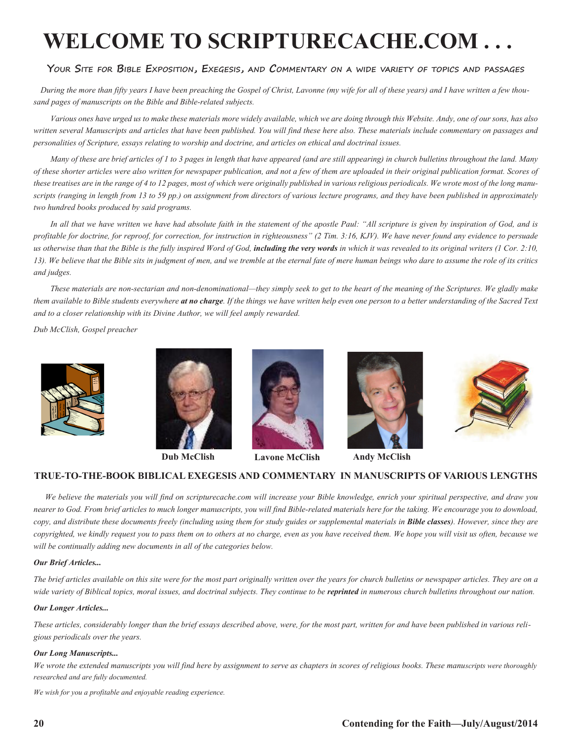# **WELCOME TO SCRIPTURECACHE.COM . . .**

#### **Your Site for Bible Exposition, Exegesis, and Commentary on a wide variety of topics and passages**

 *During the more than fifty years I have been preaching the Gospel of Christ, Lavonne (my wife for all of these years) and I have written a few thousand pages of manuscripts on the Bible and Bible-related subjects.* 

*Various ones have urged us to make these materials more widely available, which we are doing through this Website. Andy, one of our sons, has also written several Manuscripts and articles that have been published. You will find these here also. These materials include commentary on passages and personalities of Scripture, essays relating to worship and doctrine, and articles on ethical and doctrinal issues.* 

*Many of these are brief articles of 1 to 3 pages in length that have appeared (and are still appearing) in church bulletins throughout the land. Many of these shorter articles were also written for newspaper publication, and not a few of them are uploaded in their original publication format. Scores of these treatises are in the range of 4 to 12 pages, most of which were originally published in various religious periodicals. We wrote most of the long manuscripts (ranging in length from 13 to 59 pp.) on assignment from directors of various lecture programs, and they have been published in approximately two hundred books produced by said programs.*

In all that we have written we have had absolute faith in the statement of the apostle Paul: "All scripture is given by inspiration of God, and is *profitable for doctrine, for reproof, for correction, for instruction in righteousness" (2 Tim. 3:16, KJV). We have never found any evidence to persuade*  us otherwise than that the Bible is the fully inspired Word of God, **including the very words** in which it was revealed to its original writers (1 Cor. 2:10, *13). We believe that the Bible sits in judgment of men, and we tremble at the eternal fate of mere human beings who dare to assume the role of its critics and judges.*

*These materials are non-sectarian and non-denominational—they simply seek to get to the heart of the meaning of the Scriptures. We gladly make them available to Bible students everywhere at no charge. If the things we have written help even one person to a better understanding of the Sacred Text and to a closer relationship with its Divine Author, we will feel amply rewarded.*

*Dub McClish, Gospel preacher*









**Dub McClish Lavone McClish Andy McClish**





## **TRUE-TO-THE-BOOK BIBLICAL EXEGESIS AND COMMENTARY IN MANUSCRIPTS OF VARIOUS LENGTHS**

 *We believe the materials you will find on scripturecache.com will increase your Bible knowledge, enrich your spiritual perspective, and draw you nearer to God. From brief articles to much longer manuscripts, you will find Bible-related materials here for the taking. We encourage you to download, copy, and distribute these documents freely (including using them for study guides or supplemental materials in Bible classes). However, since they are copyrighted, we kindly request you to pass them on to others at no charge, even as you have received them. We hope you will visit us often, because we will be continually adding new documents in all of the categories below.* 

#### *Our Brief Articles...*

*The brief articles available on this site were for the most part originally written over the years for church bulletins or newspaper articles. They are on a*  wide variety of Biblical topics, moral issues, and doctrinal subjects. They continue to be **reprinted** in numerous church bulletins throughout our nation.

#### *Our Longer Articles...*

*These articles, considerably longer than the brief essays described above, were, for the most part, written for and have been published in various religious periodicals over the years.*

#### *Our Long Manuscripts...*

*We wrote the extended manuscripts you will find here by assignment to serve as chapters in scores of religious books. These manuscripts were thoroughly researched and are fully documented.*

*We wish for you a profitable and enjoyable reading experience.*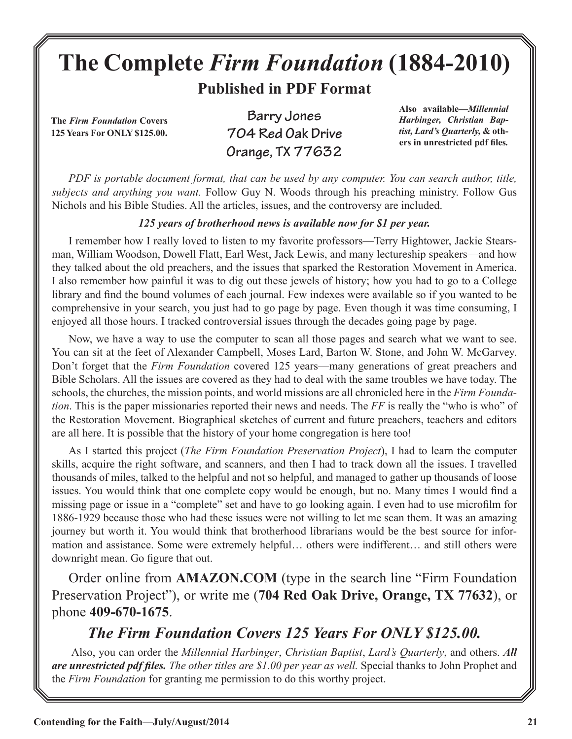# **The Complete** *Firm Foundation* **(1884-2010)**

**Published in PDF Format**

**The** *Firm Foundation* **Covers 125 Years For ONLY \$125.00.**

**Barry Jones 704 Red Oak Drive Orange, TX 77632**

**Also available***—Millennial Harbinger, Christian Baptist, Lard's Quarterly,* **& others in unrestricted pdf files***.*

*PDF is portable document format, that can be used by any computer. You can search author, title, subjects and anything you want.* Follow Guy N. Woods through his preaching ministry. Follow Gus Nichols and his Bible Studies. All the articles, issues, and the controversy are included.

# *125 years of brotherhood news is available now for \$1 per year.*

I remember how I really loved to listen to my favorite professors—Terry Hightower, Jackie Stearsman, William Woodson, Dowell Flatt, Earl West, Jack Lewis, and many lectureship speakers—and how they talked about the old preachers, and the issues that sparked the Restoration Movement in America. I also remember how painful it was to dig out these jewels of history; how you had to go to a College library and find the bound volumes of each journal. Few indexes were available so if you wanted to be comprehensive in your search, you just had to go page by page. Even though it was time consuming, I enjoyed all those hours. I tracked controversial issues through the decades going page by page.

Now, we have a way to use the computer to scan all those pages and search what we want to see. You can sit at the feet of Alexander Campbell, Moses Lard, Barton W. Stone, and John W. McGarvey. Don't forget that the *Firm Foundation* covered 125 years—many generations of great preachers and Bible Scholars. All the issues are covered as they had to deal with the same troubles we have today. The schools, the churches, the mission points, and world missions are all chronicled here in the *Firm Foundation*. This is the paper missionaries reported their news and needs. The *FF* is really the "who is who" of the Restoration Movement. Biographical sketches of current and future preachers, teachers and editors are all here. It is possible that the history of your home congregation is here too!

As I started this project (*The Firm Foundation Preservation Project*), I had to learn the computer skills, acquire the right software, and scanners, and then I had to track down all the issues. I travelled thousands of miles, talked to the helpful and not so helpful, and managed to gather up thousands of loose issues. You would think that one complete copy would be enough, but no. Many times I would find a missing page or issue in a "complete" set and have to go looking again. I even had to use microfilm for 1886-1929 because those who had these issues were not willing to let me scan them. It was an amazing journey but worth it. You would think that brotherhood librarians would be the best source for information and assistance. Some were extremely helpful… others were indifferent… and still others were downright mean. Go figure that out.

Order online from **AMAZON.COM** (type in the search line "Firm Foundation Preservation Project"), or write me (**704 Red Oak Drive, Orange, TX 77632**), or phone **409-670-1675**.

# *The Firm Foundation Covers 125 Years For ONLY \$125.00.*

 Also, you can order the *Millennial Harbinger*, *Christian Baptist*, *Lard's Quarterly*, and others. *All are unrestricted pdf files. The other titles are \$1.00 per year as well.* Special thanks to John Prophet and the *Firm Foundation* for granting me permission to do this worthy project.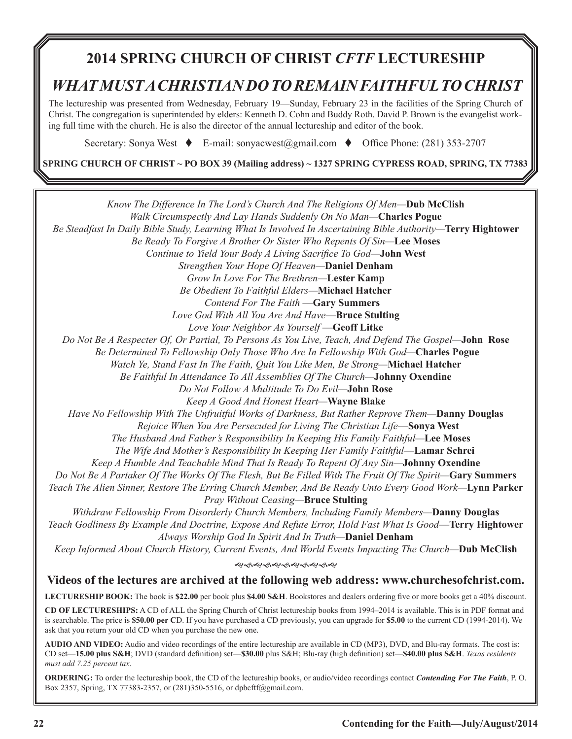# **2014 SPRING CHURCH OF CHRIST** *CFTF* **LECTURESHIP**

# *WHAT MUST A CHRISTIAN DO TO REMAIN FAITHFUL TO CHRIST*

The lectureship was presented from Wednesday, February 19—Sunday, February 23 in the facilities of the Spring Church of Christ. The congregation is superintended by elders: Kenneth D. Cohn and Buddy Roth. David P. Brown is the evangelist working full time with the church. He is also the director of the annual lectureship and editor of the book.

Secretary: Sonya West  $\bullet$  E-mail: sonyacwest@gmail.com  $\bullet$  Office Phone: (281) 353-2707

**SPRING CHURCH OF CHRIST ~ PO BOX 39 (Mailing address) ~ 1327 SPRING CYPRESS ROAD, SPRING, TX 77383**

*Know The Difference In The Lord's Church And The Religions Of Men—***Dub McClish** *Walk Circumspectly And Lay Hands Suddenly On No Man—***Charles Pogue** *Be Steadfast In Daily Bible Study, Learning What Is Involved In Ascertaining Bible Authority—***Terry Hightower**  *Be Ready To Forgive A Brother Or Sister Who Repents Of Sin—***Lee Moses** *Continue to Yield Your Body A Living Sacrifice To God—***John West** *Strengthen Your Hope Of Heaven—***Daniel Denham** *Grow In Love For The Brethren—***Lester Kamp** *Be Obedient To Faithful Elders—***Michael Hatcher** *Contend For The Faith* —**Gary Summers** *Love God With All You Are And Have*—**Bruce Stulting** *Love Your Neighbor As Yourself* —**Geoff Litke** *Do Not Be A Respecter Of, Or Partial, To Persons As You Live, Teach, And Defend The Gospel—***John Rose**  *Be Determined To Fellowship Only Those Who Are In Fellowship With God—***Charles Pogue** *Watch Ye, Stand Fast In The Faith, Quit You Like Men, Be Strong—***Michael Hatcher** *Be Faithful In Attendance To All Assemblies Of The Church—***Johnny Oxendine**  *Do Not Follow A Multitude To Do Evil—***John Rose** *Keep A Good And Honest Heart—***Wayne Blake** *Have No Fellowship With The Unfruitful Works of Darkness, But Rather Reprove Them—***Danny Douglas** *Rejoice When You Are Persecuted for Living The Christian Life*—**Sonya West** *The Husband And Father's Responsibility In Keeping His Family Faithful—***Lee Moses** *The Wife And Mother's Responsibility In Keeping Her Family Faithful*—**Lamar Schrei** *Keep A Humble And Teachable Mind That Is Ready To Repent Of Any Sin—***Johnny Oxendine** *Do Not Be A Partaker Of The Works Of The Flesh, But Be Filled With The Fruit Of The Spirit—***Gary Summers**  *Teach The Alien Sinner, Restore The Erring Church Member, And Be Ready Unto Every Good Work—***Lynn Parker** *Pray Without Ceasing—***Bruce Stulting** *Withdraw Fellowship From Disorderly Church Members, Including Family Members—***Danny Douglas**  *Teach Godliness By Example And Doctrine, Expose And Refute Error, Hold Fast What Is Good*—**Terry Hightower** *Always Worship God In Spirit And In Truth—***Daniel Denham** *Keep Informed About Church History, Current Events, And World Events Impacting The Church—***Dub McClish** <u>କଟକଟେ କରେ କରେ କ</u> **Videos of the lectures are archived at the following web address: www.churchesofchrist.com. LECTURESHIP BOOK:** The book is **\$22.00** per book plus **\$4.00 S&H**. Bookstores and dealers ordering five or more books get a 40% discount. **CD OF LECTURESHIPS:** A CD of ALL the Spring Church of Christ lectureship books from 1994–2014 is available. This is in PDF format and

is searchable. The price is **\$50.00 per C**D. If you have purchased a CD previously, you can upgrade for **\$5.00** to the current CD (1994-2014). We ask that you return your old CD when you purchase the new one.

**AUDIO AND VIDEO:** Audio and video recordings of the entire lectureship are available in CD (MP3), DVD, and Blu-ray formats. The cost is: CD set—**15.00 plus S&H**; DVD (standard definition) set—**\$30.00** plus S&H; Blu-ray (high definition) set—**\$40.00 plus S&H**. *Texas residents must add 7.25 percent tax*.

**ORDERING:** To order the lectureship book, the CD of the lectureship books, or audio/video recordings contact *Contending For The Faith*, P. O. Box 2357, Spring, TX 77383-2357, or (281)350-5516, or dpbcftf@gmail.com.

ī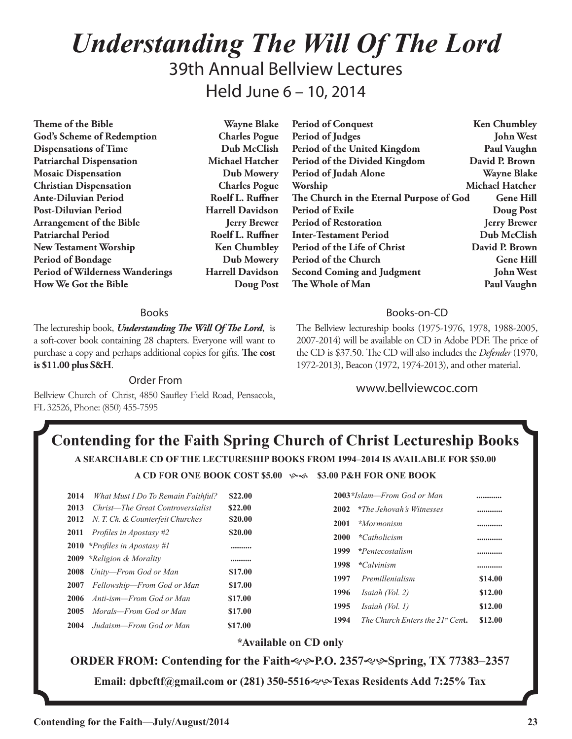# *Understanding The Will Of The Lord* 39th Annual Bellview Lectures Held June 6 – 10, 2014

**Theme of the Bible Wayne Blake God's Scheme of Redemption Charles Pogue Dispensations of Time Dub McClish Patriarchal Dispensation Michael Hatcher Mosaic Dispensation Dub Mowery Christian Dispensation Charles Pogue Ante-Diluvian Period Roelf L. Ruffner Post-Diluvian Period Harrell Davidson Arrangement of the Bible Jerry Brewer** Patriarchal Period **Roelf L. Ruffner New Testament Worship Ken Chumbley Period of Bondage Dub Mowery Period of Wilderness Wanderings Harrell Davidson How We Got the Bible Doug Post**

#### Books

The lectureship book, *Understanding The Will Of The Lord*, is a soft-cover book containing 28 chapters. Everyone will want to purchase a copy and perhaps additional copies for gifts. **The cost is \$11.00 plus S&H**.

Order From

Bellview Church of Christ, 4850 Saufley Field Road, Pensacola, FL 32526, Phone: (850) 455-7595

Period of Conquest **Ken Chumbley Period of Judges John West Period of the United Kingdom Paul Vaughn Period of the Divided Kingdom David P. Brown Period of Judah Alone Wayne Blake** Worship Michael Hatcher **The Church in the Eternal Purpose of God Gene Hill Period of Exile Doug Post Period of Restoration Jerry Brewer Inter-Testament Period Dub McClish** Period of the Life of Christ David P. Brown **Period of the Church Gene Hill Second Coming and Judgment John West The Whole of Man Paul Vaughn** 

### Books-on-CD

The Bellview lectureship books (1975-1976, 1978, 1988-2005, 2007-2014) will be available on CD in Adobe PDF. The price of the CD is \$37.50. The CD will also includes the *Defender* (1970, 1972-2013), Beacon (1972, 1974-2013), and other material.

www.bellviewcoc.com

# **Contending for the Faith Spring Church of Christ Lectureship Books A SEARCHABLE CD OF THE LECTURESHIP BOOKS FROM 1994–2014 IS AVAILABLE FOR \$50.00**

**A CD FOR ONE BOOK COST \$5.00**  $\rightarrow$  **\$3.00 P&H FOR ONE BOOK** 

| 2014 | What Must I Do To Remain Faithful?           | \$22.00 |
|------|----------------------------------------------|---------|
| 2013 | Christ—The Great Controversialist            | \$22.00 |
| 2012 | N. T. Ch. & Counterfeit Churches             | \$20.00 |
|      | <b>2011</b> Profiles in Apostasy #2          | \$20.00 |
|      | <b>2010</b> * <i>Profiles in Apostasy</i> #1 |         |
|      | <b>2009</b> *Religion & Morality             |         |
|      | 2008 Unity-From God or Man                   | \$17.00 |
| 2007 | Fellowship—From God or Man                   | \$17.00 |
|      | <b>2006</b> Anti-ism—From God or Man         | \$17.00 |
| 2005 | Morals—From God or Man                       | \$17.00 |
| 2004 | Judaism—From God or Man                      | \$17.00 |
|      |                                              |         |

# **2003***\*Islam—From God or Man* **............ 2002** *\*The Jehovah's Witnesses* **............ 2001** *\*Mormonism* **............ 2000** *\*Catholicism* **............ 1999** *\*Pentecostalism* **............ 1998** *\*Calvinism* **............ 1997** *Premillenialism* **\$14.00 1996** *Isaiah (Vol. 2)* **\$12.00 1995** *Isaiah (Vol. 1)* **\$12.00 1994** *The Church Enters the 21st Cen***t. \$12.00**

## *\****Available on CD only**

**ORDER FROM: Contending for the Faith** $\ll$  $\cdot$ **P.O. 2357** $\ll$  $\cdot$ **Spring, TX 77383–2357** 

**Email: dpbcftf@gmail.com or (281) 350-5516**gh**Texas Residents Add 7:25% Tax**